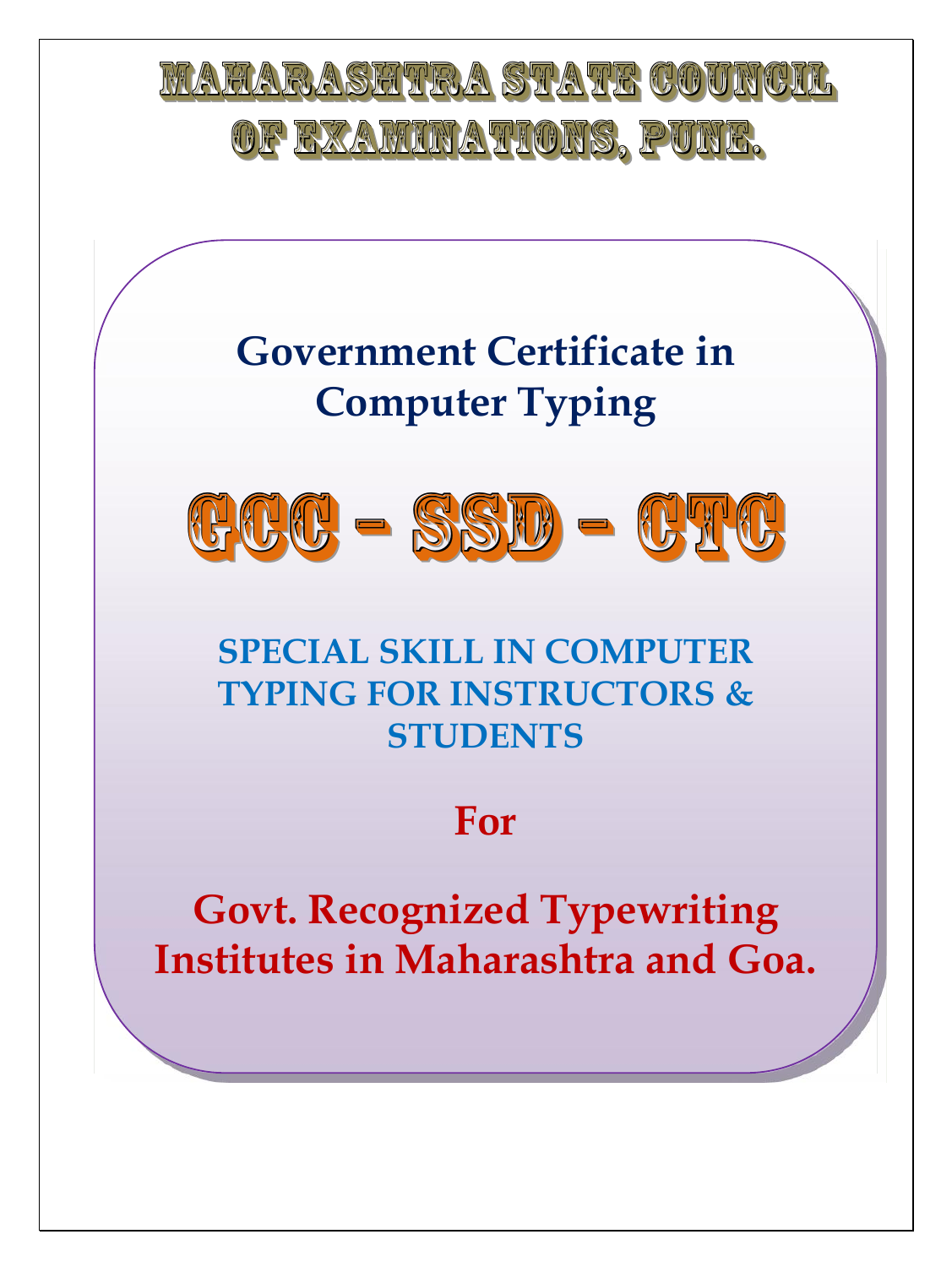





# **SPECIAL SKILL IN COMPUTER TYPING FOR INSTRUCTORS & STUDENTS**

# **For**

**Govt. Recognized Typewriting Institutes in Maharashtra and Goa.**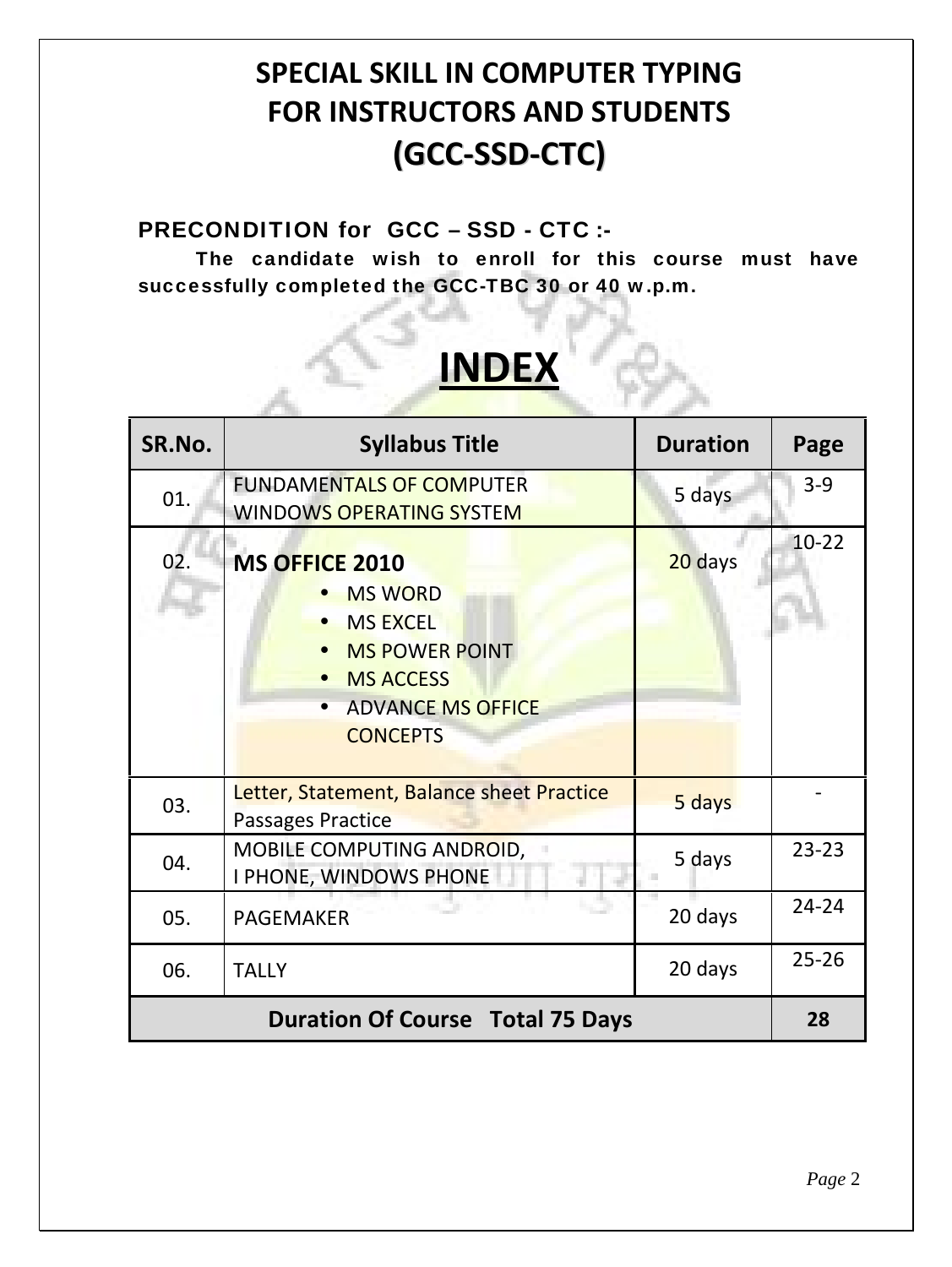# **SPECIAL SKILL IN COMPUTER TYPING FOR INSTRUCTORS AND STUDENTS (GCC-SSD-CTC)**

#### **PRECONDITION for GCC – SSD - CTC :-**

**The candidate wish to enroll for this course must have successfully completed the GCC-TBC 30 or 40 w.p.m.**

| <b>INDEX</b> |                                                                                                                                                        |                 |           |
|--------------|--------------------------------------------------------------------------------------------------------------------------------------------------------|-----------------|-----------|
| SR.No.       | <b>Syllabus Title</b>                                                                                                                                  | <b>Duration</b> | Page      |
| 01.          | <b>FUNDAMENTALS OF COMPUTER</b><br><b>WINDOWS OPERATING SYSTEM</b>                                                                                     | 5 days          | $3 - 9$   |
| 02.          | <b>MS OFFICE 2010</b><br><b>MS WORD</b><br><b>MS EXCEL</b><br><b>MS POWER POINT</b><br><b>MS ACCESS</b><br><b>ADVANCE MS OFFICE</b><br><b>CONCEPTS</b> | 20 days         | $10 - 22$ |
| 03.          | Letter, Statement, Balance sheet Practice<br>Passages Practice                                                                                         | 5 days          |           |
| 04.          | MOBILE COMPUTING ANDROID,<br>I PHONE, WINDOWS PHONE                                                                                                    | 5 days          | $23 - 23$ |
| 05.          | <b>PAGEMAKER</b>                                                                                                                                       | 20 days         | $24 - 24$ |
| 06.          | <b>TALLY</b>                                                                                                                                           | 20 days         | $25 - 26$ |
|              | <b>Duration Of Course Total 75 Days</b>                                                                                                                |                 | 28        |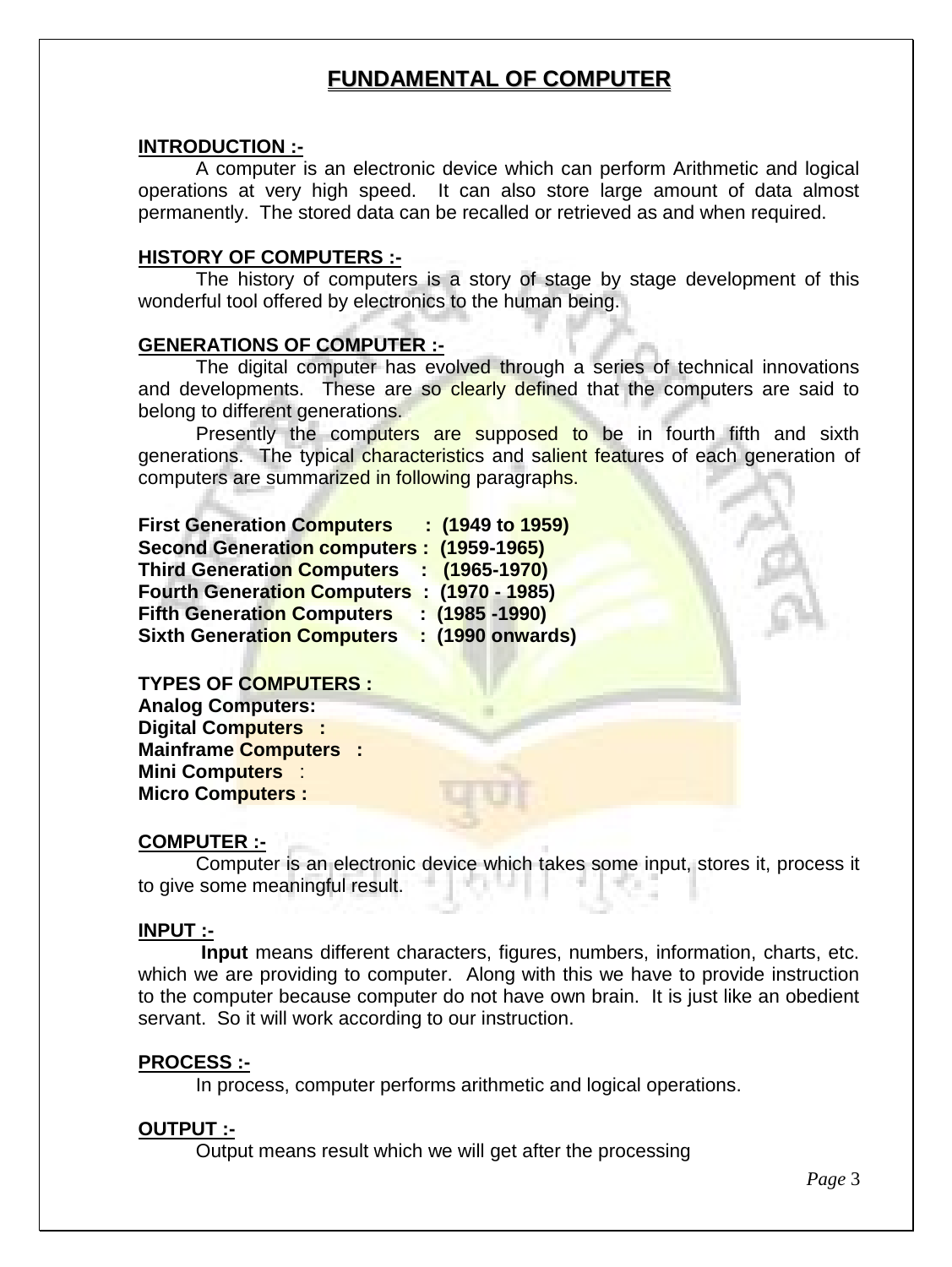#### **FUNDAMENTAL OF COMPUTER**

#### **INTRODUCTION :-**

A computer is an electronic device which can perform Arithmetic and logical operations at very high speed. It can also store large amount of data almost permanently. The stored data can be recalled or retrieved as and when required.

#### **HISTORY OF COMPUTERS :-**

The history of computers is a story of stage by stage development of this wonderful tool offered by electronics to the human being.

#### **GENERATIONS OF COMPUTER :-**

The digital computer has evolved through a series of technical innovations and developments. These are so clearly defined that the computers are said to belong to different generations.

Presently the computers are supposed to be in fourth fifth and sixth generations. The typical characteristics and salient features of each generation of computers are summarized in following paragraphs.

| <b>First Generation Computers</b>           | $: (1949 \text{ to } 1959)$ |
|---------------------------------------------|-----------------------------|
| Second Generation computers : (1959-1965)   |                             |
| Third Generation Computers : (1965-1970)    |                             |
| Fourth Generation Computers : (1970 - 1985) |                             |
| <b>Fifth Generation Computers</b>           | $(1985 - 1990)$             |
| <b>Sixth Generation Computers</b>           | : (1990 onwards)            |

**TYPES OF COMPUTERS :**

**Analog Computers: Digital Computers : Mainframe Computers : Mini Computers** : **Micro Computers :**

#### **COMPUTER :-**

Computer is an electronic device which takes some input, stores it, process it to give some meaningful result.

#### **INPUT :-**

**Input** means different characters, figures, numbers, information, charts, etc. which we are providing to computer. Along with this we have to provide instruction to the computer because computer do not have own brain. It is just like an obedient servant. So it will work according to our instruction.

#### **PROCESS :-**

In process, computer performs arithmetic and logical operations.

#### **OUTPUT :-**

Output means result which we will get after the processing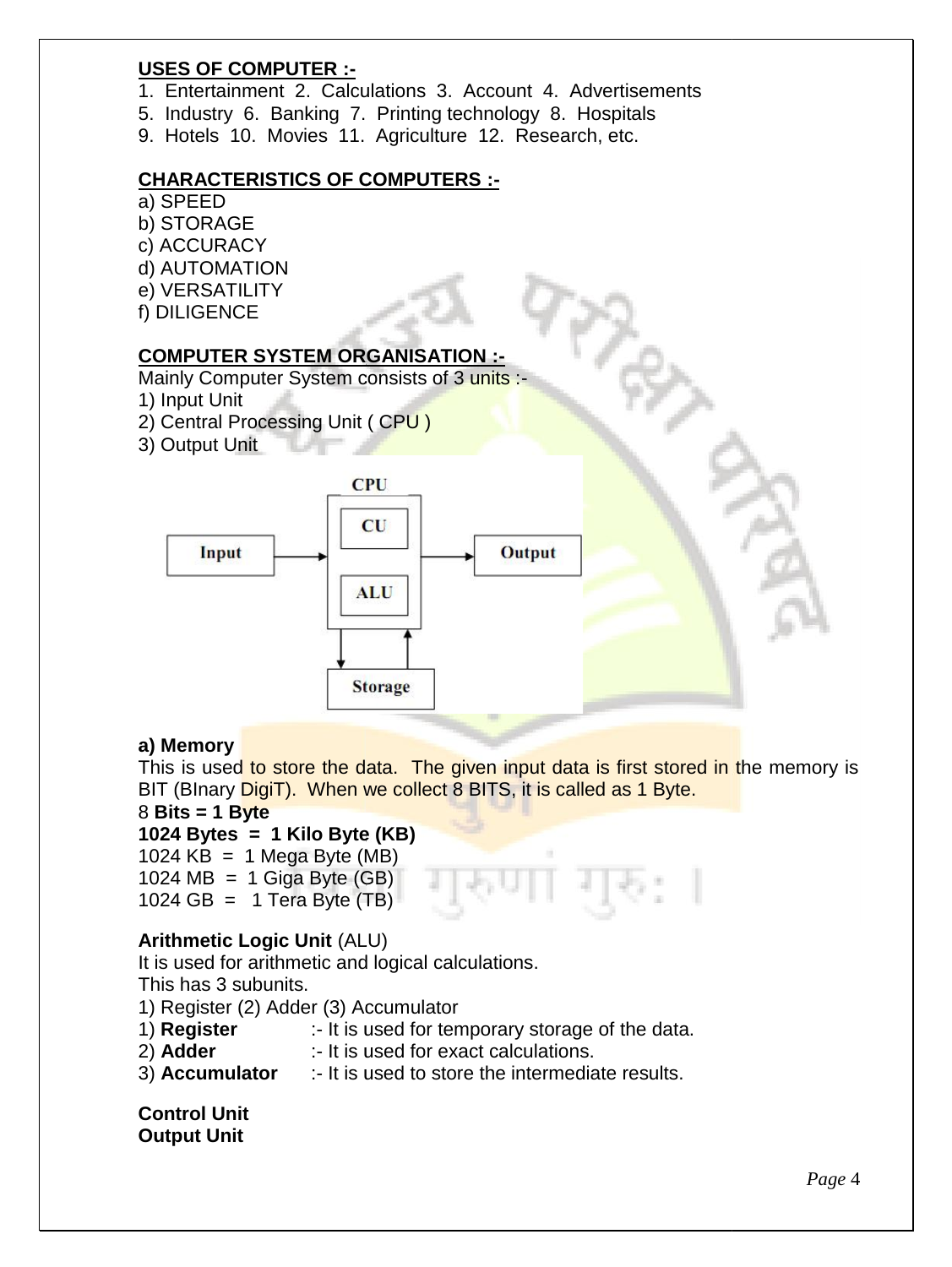#### **USES OF COMPUTER :-**

- 1. Entertainment 2. Calculations 3. Account 4. Advertisements
- 5. Industry 6. Banking 7. Printing technology 8. Hospitals
- 9. Hotels 10. Movies 11. Agriculture 12. Research, etc.

# **CHARACTERISTICS OF COMPUTERS :** els 10. Movies 11. Agriculture<br>
ACTERISTICS OF COMPUTER:<br>
ED<br>
RAGE<br>
URACY<br>
OMATION<br>
SATILITY<br>
SENCE<br>
UTER SYSTEM ORGANISATIO<br>
Computer System consists of 3 i<br>
t Unit<br>
tral Processing Unit ( CPU )

- a) SPEED
- b) STORAGE
- c) ACCURACY
- d) AUTOMATION
- e) VERSATILITY
- f) DILIGENCE

#### **COMPUTER SYSTEM ORGANISATION :-**

Mainly Computer System consists of 3 units :-

- 1) Input Unit
- 2) Central Processing Unit ( CPU )
- 3) Output Unit



#### **a) Memory**

This is used to store the data. The given input data is first stored in the memory is BIT (BInary DigiT). When we collect 8 BITS, it is called as 1 Byte.

#### 8 **Bits = 1 Byte Bits =**

#### **1024 Bytes = 1 Kilo Byte (KB)**

1024  $KB = 1$  Mega Byte (MB)

1024 MB = 1 Giga Byte  $(BB)$ 1024 GB = 1 Tera Byte  $(TB)$ 

#### **Arithmetic Logic Unit** (ALU)

It is used for arithmetic and logical calculations. This has 3 subunits.

- This has 3 subunits.<br>1) Register (2) Adder (3) Accumulator
- :- It is used for temporary storage of the data. **Register**
- 2) **Adder** :- It is used for exact calculations.
- 3) **Accumulator** :- It is used to store the intermediate results.

**Control Unit Output Unit**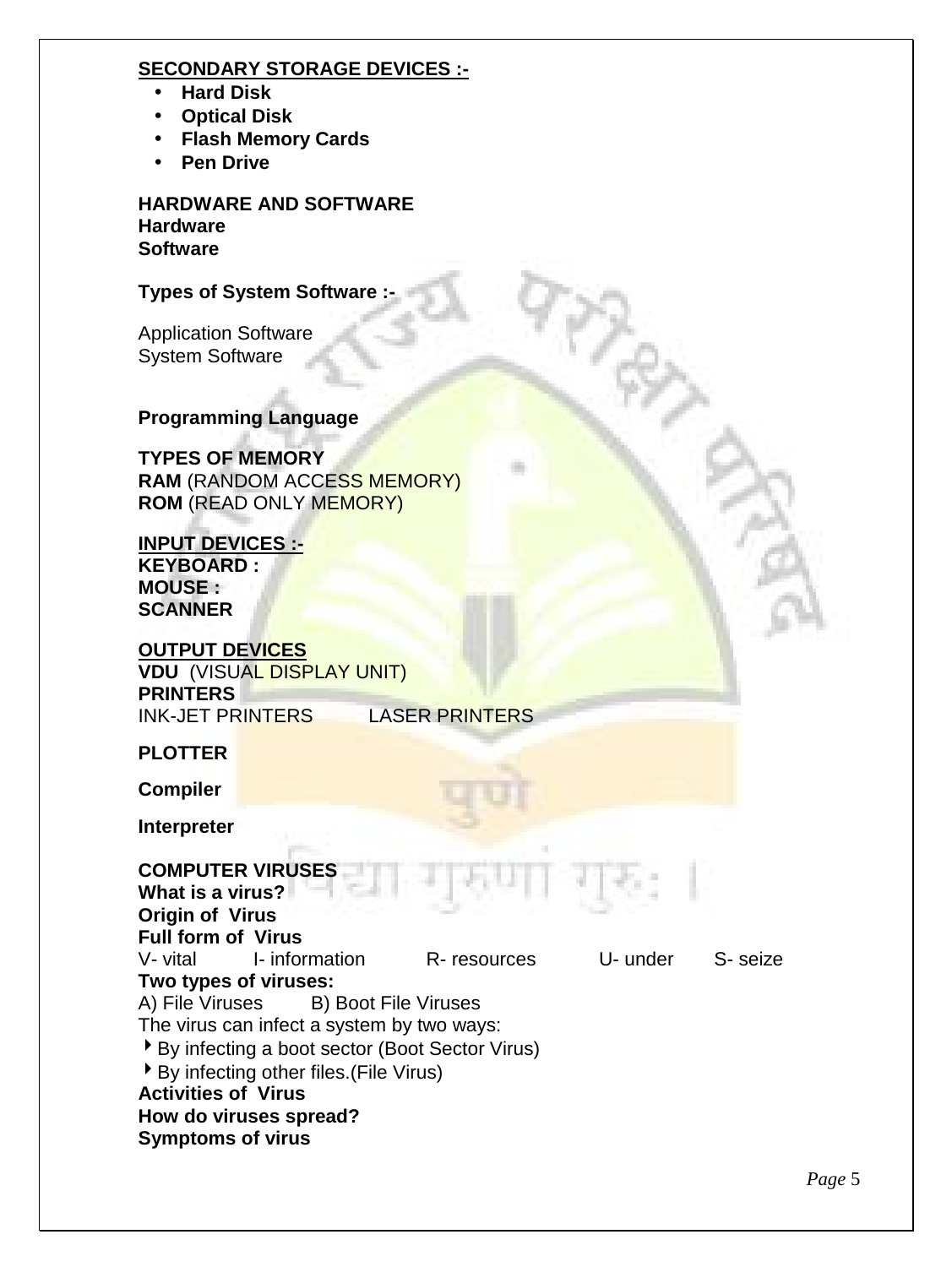#### **SECONDARY STORAGE DEVICES :-**

- **Hard Disk**
- **Optical Disk**
- **Flash Memory Cards**
- **Pen Drive**

**HARDWARE AND SOFTWARE Hardware Software**

#### **Types of System Software :-**

Application Software System Software

#### **Programming Language**

**TYPES OF MEMORY RAM** (RANDOM ACCESS MEMORY) **ROM** (READ ONLY MEMORY)

#### **INPUT DEVICES :- KEYBOARD :**

**MOUSE : SCANNER**

## **OUTPUT DEVICES**

**VDU** (VISUAL DISPLAY UNIT) **PRINTERS**

LASER PRINTERS

#### **PLOTTER**

**Compiler**

**Interpreter**

#### **COMPUTER VIRUSES What is a virus?**

**Origin of Virus Full form of Virus** V- vital I- information R- resources U- under S- seize **Two types of viruses:** A) File Viruses B) Boot File Viruses The virus can infect a system by two ways: By infecting a boot sector (Boot Sector Virus) By infecting other files.(File Virus) **Activities of Virus How do viruses spread? Symptoms of virus**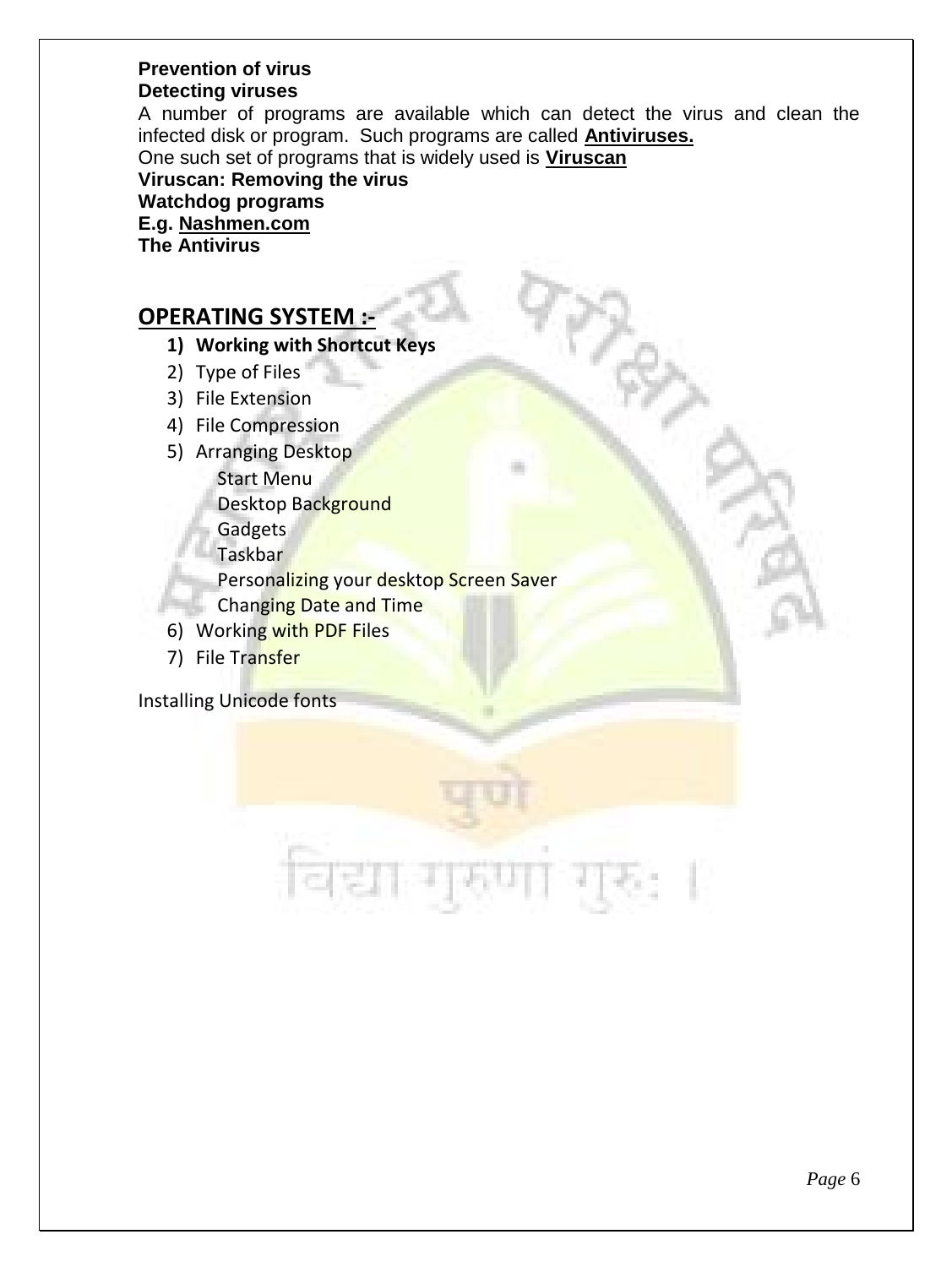#### **Prevention of virus Detecting viruses**

A number of programs are available which can detect the virus and clean the infected disk or program. Such programs are called **Antiviruses.**

One such set of programs that is widely used is **Viruscan**

**Viruscan: Removing the virus Watchdog programs E.g. Nashmen.com The Antivirus**

### **OPERATING SYSTEM :-**

- **1) Working with Shortcut Keys**
- 2) Type of Files
- 3) File Extension
- 4) File Compression
- 5) Arranging Desktop

Start Menu

Desktop Background

Gadgets

Taskbar

Personalizing your desktop Screen Saver

- **Changing Date and Time**
- 6) Working with PDF Files
- 7) File Transfer

Installing Unicode fonts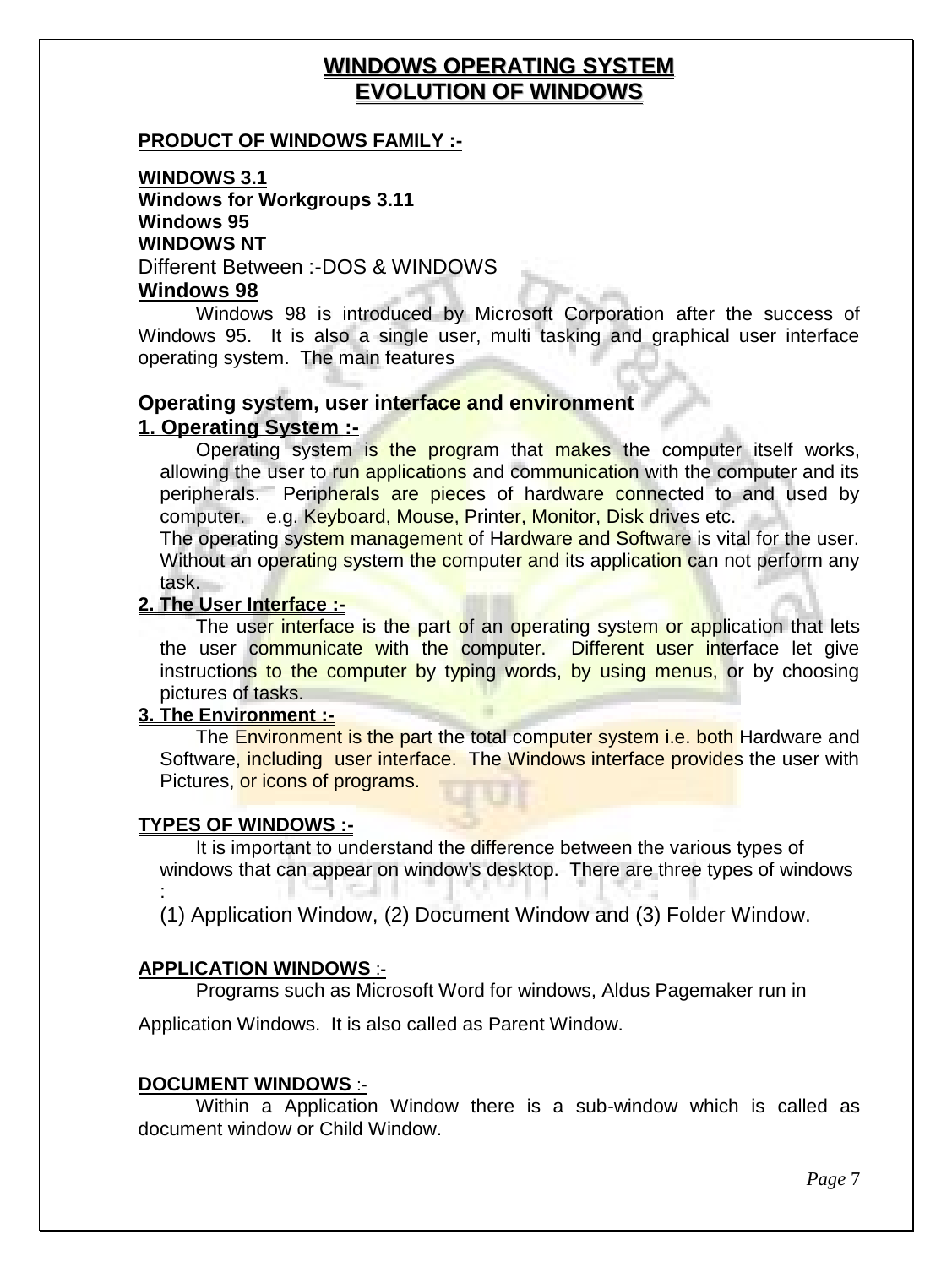#### **WINDOWS OPERATING SYSTEM EVOLUTION OF WINDOWS**

#### **PRODUCT OF WINDOWS FAMILY :-**

**WINDOWS 3.1 Windows for Workgroups 3.11 Windows 95 WINDOWS NT** Different Between :-DOS & WINDOWS

#### **Windows 98**

Windows 98 is introduced by Microsoft Corporation after the success of Windows 95. It is also a single user, multi tasking and graphical user interface operating system. The main features

#### **Operating system, user interface and environment 1. Operating System :-**

Operating system is the program that makes the computer itself works, allowing the user to run applications and communication with the computer and its peripherals. Peripherals are pieces of hardware connected to and used by computer. e.g. Keyboard, Mouse, Printer, Monitor, Disk drives etc.

The operating system management of Hardware and Software is vital for the user. Without an operating system the computer and its application can not perform any task.

#### **2. The User Interface :-**

The user interface is the part of an operating system or application that lets the user communicate with the computer. Different user interface let give instructions to the computer by typing words, by using menus, or by choosing pictures of tasks.

#### **3. The Environment :-**

The Environment is the part the total computer system i.e. both Hardware and Software, including user interface. The Windows interface provides the user with Pictures, or icons of programs.

#### **TYPES OF WINDOWS :-**

It is important to understand the difference between the various types of windows that can appear on window's desktop. There are three types of windows

: (1) Application Window, (2) Document Window and (3) Folder Window.

#### **APPLICATION WINDOWS** :-

Programs such as Microsoft Word for windows, Aldus Pagemaker run in

Application Windows. It is also called as Parent Window.

#### **DOCUMENT WINDOWS** :-

Within a Application Window there is a sub-window which is called as document window or Child Window.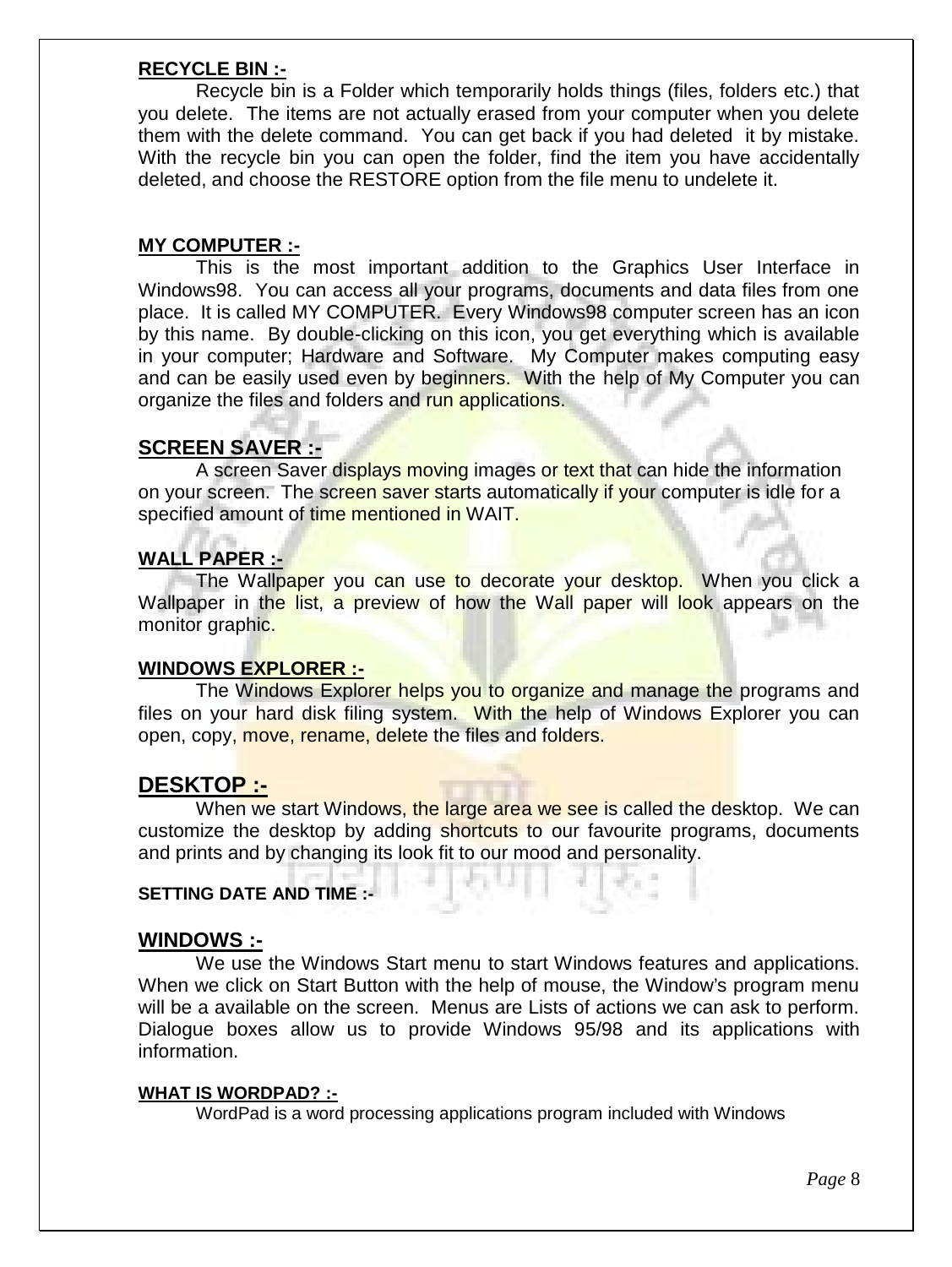#### **RECYCLE BIN :-**

Recycle bin is a Folder which temporarily holds things (files, folders etc.) that you delete. The items are not actually erased from your computer when you delete them with the delete command. You can get back if you had deleted it by mistake. With the recycle bin you can open the folder, find the item you have accidentally deleted, and choose the RESTORE option from the file menu to undelete it.

#### **MY COMPUTER :-**

This is the most important addition to the Graphics User Interface in Windows98. You can access all your programs, documents and data files from one place. It is called MY COMPUTER. Every Windows98 computer screen has an icon by this name. By double-clicking on this icon, you get everything which is available in your computer; Hardware and Software. My Computer makes computing easy and can be easily used even by beginners. With the help of My Computer you can organize the files and folders and run applications.

#### **SCREEN SAVER :-**

A screen Saver displays moving images or text that can hide the information on your screen. The screen saver starts automatically if your computer is idle for a specified amount of time mentioned in WAIT.

#### **WALL PAPER :-**

The Wallpaper you can use to decorate your desktop. When you click a Wallpaper in the list, a preview of how the Wall paper will look appears on the monitor graphic.

#### **WINDOWS EXPLORER :-**

The Windows Explorer helps you to organize and manage the programs and files on your hard disk filing system. With the help of Windows Explorer you can open, copy, move, rename, delete the files and folders.

#### **DESKTOP :-**

When we start Windows, the large area we see is called the desktop. We can customize the desktop by adding shortcuts to our favourite programs, documents and prints and by changing its look fit to our mood and personality.

#### **SETTING DATE AND TIME :-**

#### **WINDOWS :-**

We use the Windows Start menu to start Windows features and applications. When we click on Start Button with the help of mouse, the Window's program menu will be a available on the screen. Menus are Lists of actions we can ask to perform. Dialogue boxes allow us to provide Windows 95/98 and its applications with information.

#### **WHAT IS WORDPAD? :-**

WordPad is a word processing applications program included with Windows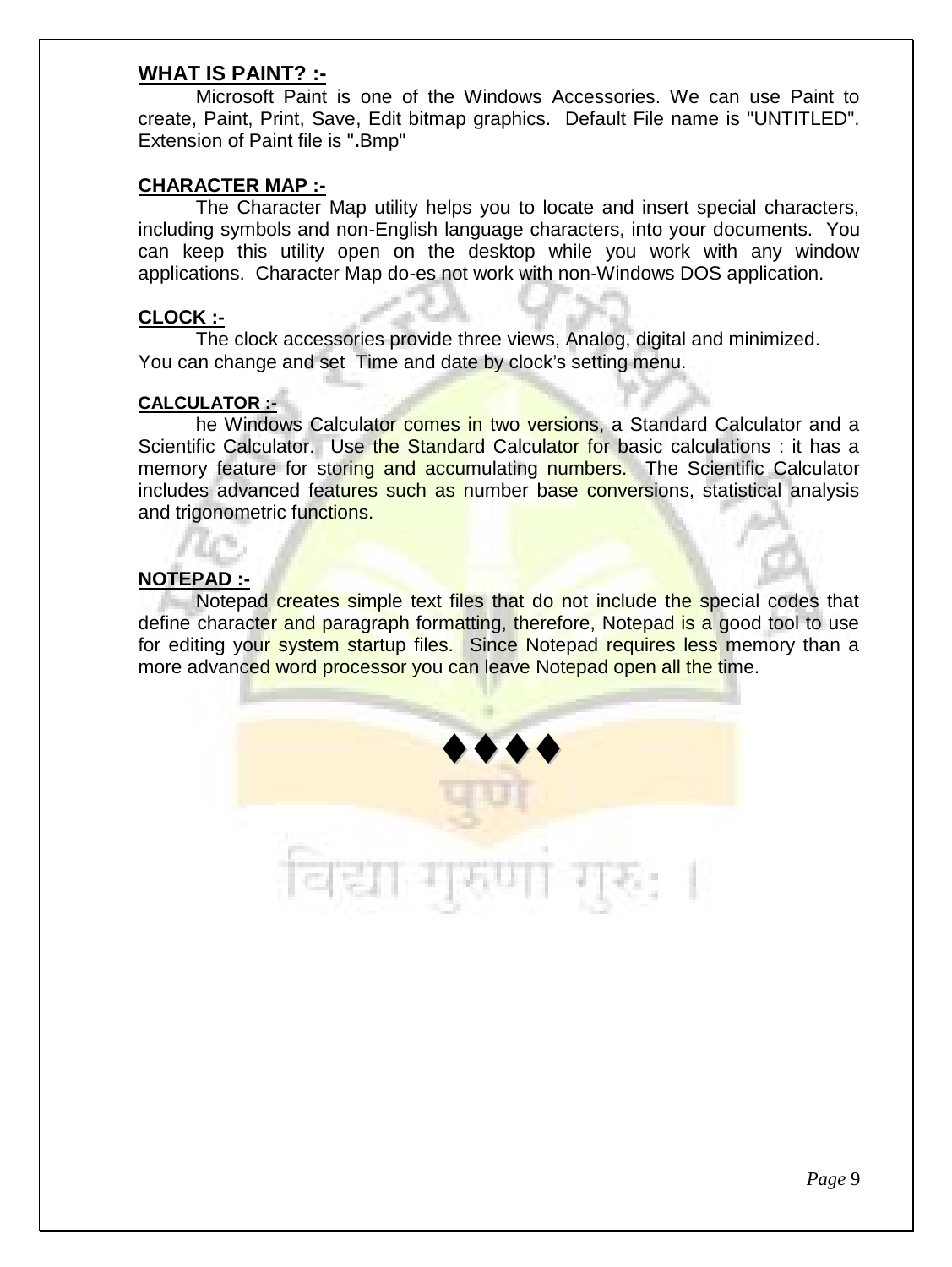#### **WHAT IS PAINT? :-**

Microsoft Paint is one of the Windows Accessories. We can use Paint to create, Paint, Print, Save, Edit bitmap graphics. Default File name is "UNTITLED". Extension of Paint file is "**.**Bmp"

#### **CHARACTER MAP :-**

The Character Map utility helps you to locate and insert special characters, including symbols and non-English language characters, into your documents. You can keep this utility open on the desktop while you work with any window applications. Character Map do-es not work with non-Windows DOS application.

#### **CLOCK :-**

The clock accessories provide three views, Analog, digital and minimized. You can change and set Time and date by clock's setting menu.

#### **CALCULATOR :-**

he Windows Calculator comes in two versions, a Standard Calculator and a Scientific Calculator. Use the Standard Calculator for basic calculations : it has a memory feature for storing and accumulating numbers. The Scientific Calculator includes advanced features such as number base conversions, statistical analysis and trigonometric functions.

#### **NOTEPAD :-**

Notepad creates simple text files that do not include the special codes that define character and paragraph formatting, therefore, Notepad is a good tool to use for editing your system startup files. Since Notepad requires less memory than a more advanced word processor you can leave Notepad open all the time.

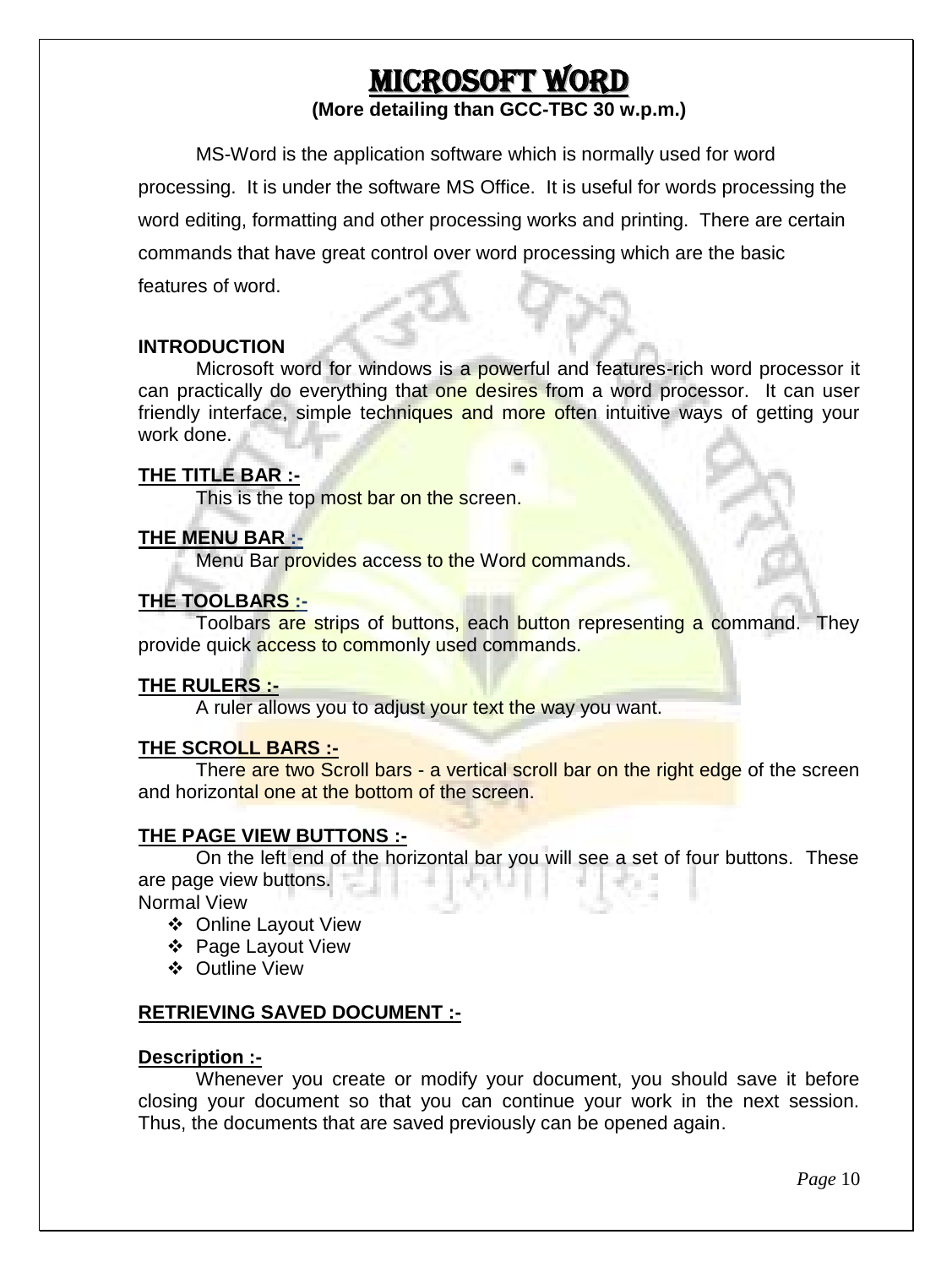## **MICROSOFT WORD**

#### **(More detailing than GCC-TBC 30 w.p.m.)**

MS-Word is the application software which is normally used for word processing. It is under the software MS Office. It is useful for words processing the word editing, formatting and other processing works and printing. There are certain commands that have great control over word processing which are the basic features of word.

#### **INTRODUCTION**

Microsoft word for windows is a powerful and features-rich word processor it can practically do everything that one desires from a word processor. It can user friendly interface, simple techniques and more often intuitive ways of getting your work done.

#### **THE TITLE BAR :-**

This is the top most bar on the screen.

#### **THE MENU BAR :-**

Menu Bar provides access to the Word commands.

#### **THE TOOLBARS :-**

Toolbars are strips of buttons, each button representing a command. They provide quick access to commonly used commands.

#### **THE RULERS :-**

A ruler allows you to adjust your text the way you want.

#### **THE SCROLL BARS :-**

There are two Scroll bars - a vertical scroll bar on the right edge of the screen and horizontal one at the bottom of the screen.

#### **THE PAGE VIEW BUTTONS :-**

On the left end of the horizontal bar you will see a set of four buttons. These are page view buttons.

Normal View

- Online Layout View
- Page Layout View
- Outline View

#### **RETRIEVING SAVED DOCUMENT :-**

#### **Description :-**

Whenever you create or modify your document, you should save it before closing your document so that you can continue your work in the next session. Thus, the documents that are saved previously can be opened again.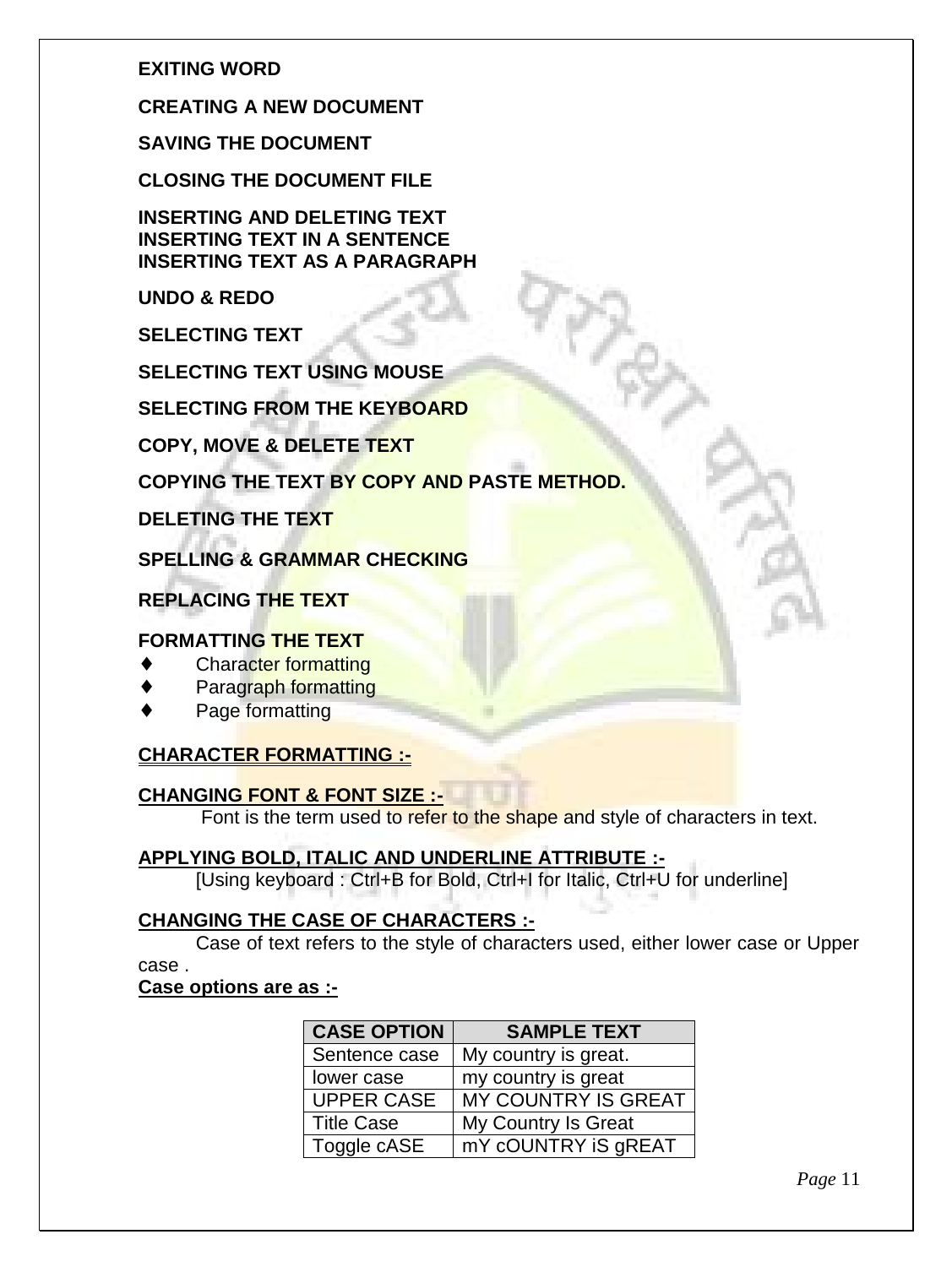#### **EXITING WORD**

#### **CREATING A NEW DOCUMENT**

**SAVING THE DOCUMENT**

**CLOSING THE DOCUMENT FILE**

**INSERTING AND DELETING TEXT INSERTING TEXT IN A SENTENCE INSERTING TEXT AS A PARAGRAPH**

**UNDO & REDO**

**SELECTING TEXT**

**SELECTING TEXT USING MOUSE**

**SELECTING FROM THE KEYBOARD**

**COPY, MOVE & DELETE TEXT**

#### **COPYING THE TEXT BY COPY AND PASTE METHOD.**

**DELETING THE TEXT**

**SPELLING & GRAMMAR CHECKING**

**REPLACING THE TEXT**

#### **FORMATTING THE TEXT**

- Character formatting
- Paragraph formatting
- Page formatting

#### **CHARACTER FORMATTING :-**

#### **CHANGING FONT & FONT SIZE :-**

Font is the term used to refer to the shape and style of characters in text.

#### **APPLYING BOLD, ITALIC AND UNDERLINE ATTRIBUTE :-**

[Using keyboard : Ctrl+B for Bold, Ctrl+I for Italic, Ctrl+U for underline]

#### **CHANGING THE CASE OF CHARACTERS :-**

Case of text refers to the style of characters used, either lower case or Upper case .

#### **Case options are as :-**

| <b>CASE OPTION</b> | <b>SAMPLE TEXT</b>   |  |
|--------------------|----------------------|--|
| Sentence case      | My country is great. |  |
| lower case         | my country is great  |  |
| <b>UPPER CASE</b>  | MY COUNTRY IS GREAT  |  |
| <b>Title Case</b>  | My Country Is Great  |  |
| Toggle cASE        | mY cOUNTRY IS gREAT  |  |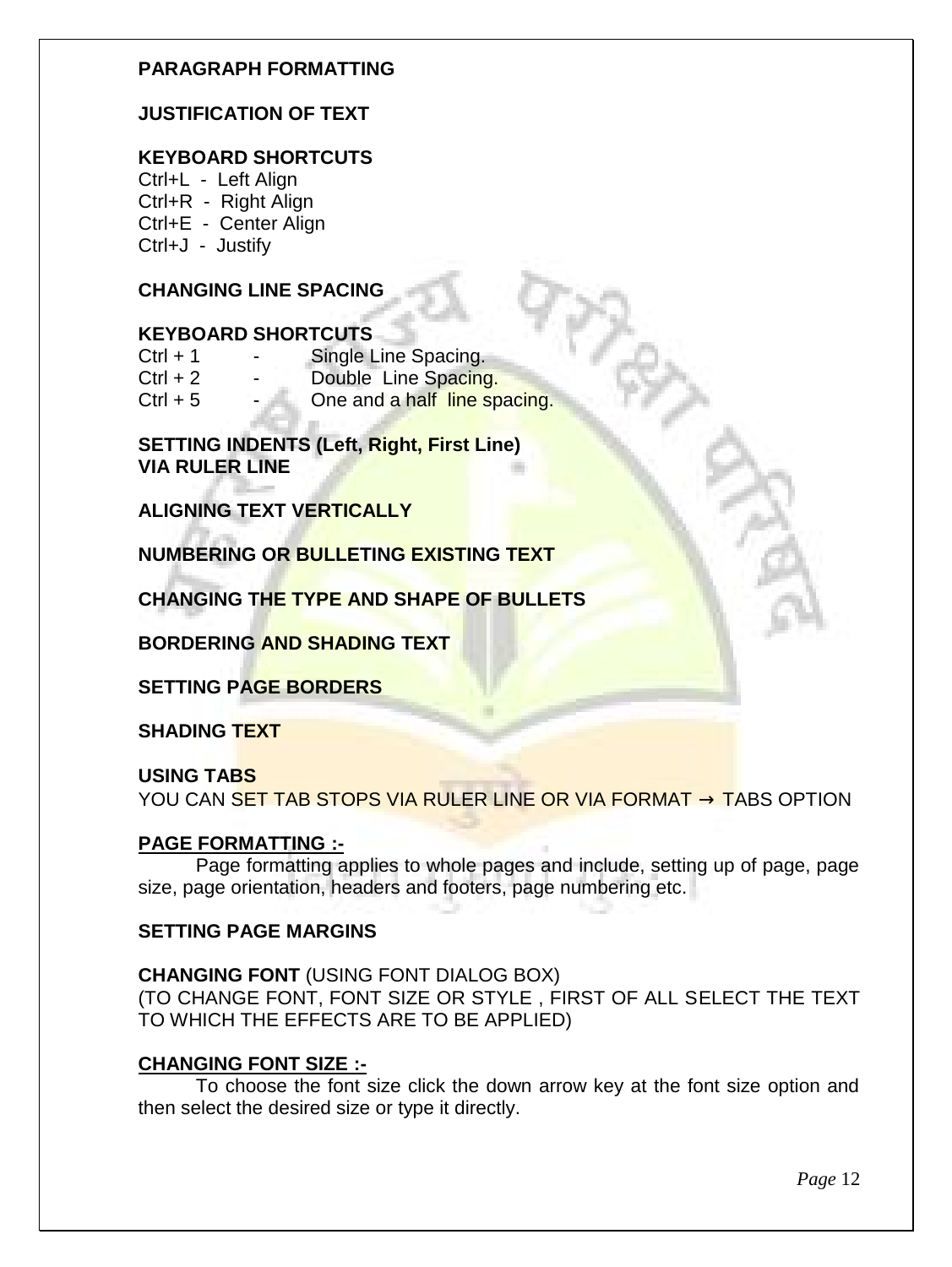#### **PARAGRAPH FORMATTING**

#### **JUSTIFICATION OF TEXT**

#### **KEYBOARD SHORTCUTS**

Ctrl+L - Left Align Ctrl+R - Right Align Ctrl+E - Center Align Ctrl+J - Justify

#### **CHANGING LINE SPACING**

#### **KEYBOARD SHORTCUTS**

| $Ctrl + 1$ |    | Single Line Spacing.         |
|------------|----|------------------------------|
| $Ctrl + 2$ |    | Double Line Spacing.         |
| $Ctrl + 5$ | ۰. | One and a half line spacing. |

**SETTING INDENTS (Left, Right, First Line) VIA RULER LINE**

**ALIGNING TEXT VERTICALLY**

**NUMBERING OR BULLETING EXISTING TEXT**

**CHANGING THE TYPE AND SHAPE OF BULLETS**

**BORDERING AND SHADING TEXT**

**SETTING PAGE BORDERS**

**SHADING TEXT**

#### **USING TABS**

YOU CAN SET TAB STOPS VIA RULER LINE OR VIA FORMAT  $\rightarrow$  TABS OPTION

#### **PAGE FORMATTING :-**

Page formatting applies to whole pages and include, setting up of page, page size, page orientation, headers and footers, page numbering etc.

#### **SETTING PAGE MARGINS**

**CHANGING FONT** (USING FONT DIALOG BOX) (TO CHANGE FONT, FONT SIZE OR STYLE , FIRST OF ALL SELECT THE TEXT TO WHICH THE EFFECTS ARE TO BE APPLIED)

#### **CHANGING FONT SIZE :-**

To choose the font size click the down arrow key at the font size option and then select the desired size or type it directly.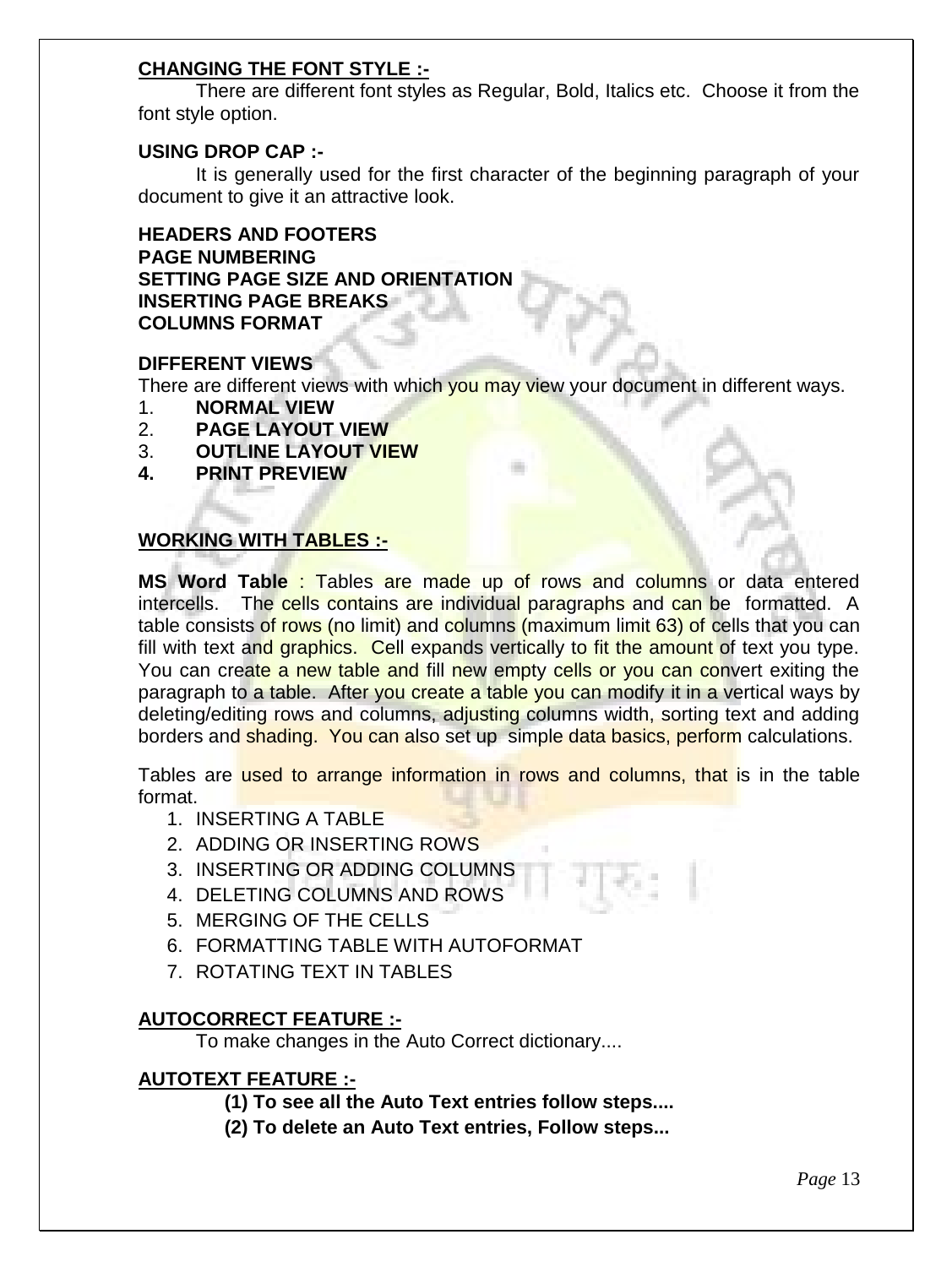#### **CHANGING THE FONT STYLE :-**

There are different font styles as Regular, Bold, Italics etc. Choose it from the font style option.

#### **USING DROP CAP :-**

It is generally used for the first character of the beginning paragraph of your document to give it an attractive look.

**HEADERS AND FOOTERS PAGE NUMBERING SETTING PAGE SIZE AND ORIENTATION INSERTING PAGE BREAKS COLUMNS FORMAT**

#### **DIFFERENT VIEWS**

There are different views with which you may view your document in different ways.

- 1. **NORMAL VIEW**
- 2. **PAGE LAYOUT VIEW**
- 3. **OUTLINE LAYOUT VIEW**
- **4. PRINT PREVIEW**

#### **WORKING WITH TABLES :-**

**MS Word Table** : Tables are made up of rows and columns or data entered intercells. The cells contains are individual paragraphs and can be formatted. A table consists of rows (no limit) and columns (maximum limit 63) of cells that you can fill with text and graphics. Cell expands vertically to fit the amount of text you type. You can create a new table and fill new empty cells or you can convert exiting the paragraph to a table. After you create a table you can modify it in a vertical ways by deleting/editing rows and columns, adjusting columns width, sorting text and adding borders and shading. You can also set up simple data basics, perform calculations.

Tables are used to arrange information in rows and columns, that is in the table format.

- 1. INSERTING A TABLE
- 2. ADDING OR INSERTING ROWS
- 3. INSERTING OR ADDING COLUMNS
- 4. DELETING COLUMNS AND ROWS
- 5. MERGING OF THE CELLS
- 6. FORMATTING TABLE WITH AUTOFORMAT
- 7. ROTATING TEXT IN TABLES

#### **AUTOCORRECT FEATURE :-**

To make changes in the Auto Correct dictionary....

#### **AUTOTEXT FEATURE :-**

- **(1) To see all the Auto Text entries follow steps....**
- **(2) To delete an Auto Text entries, Follow steps...**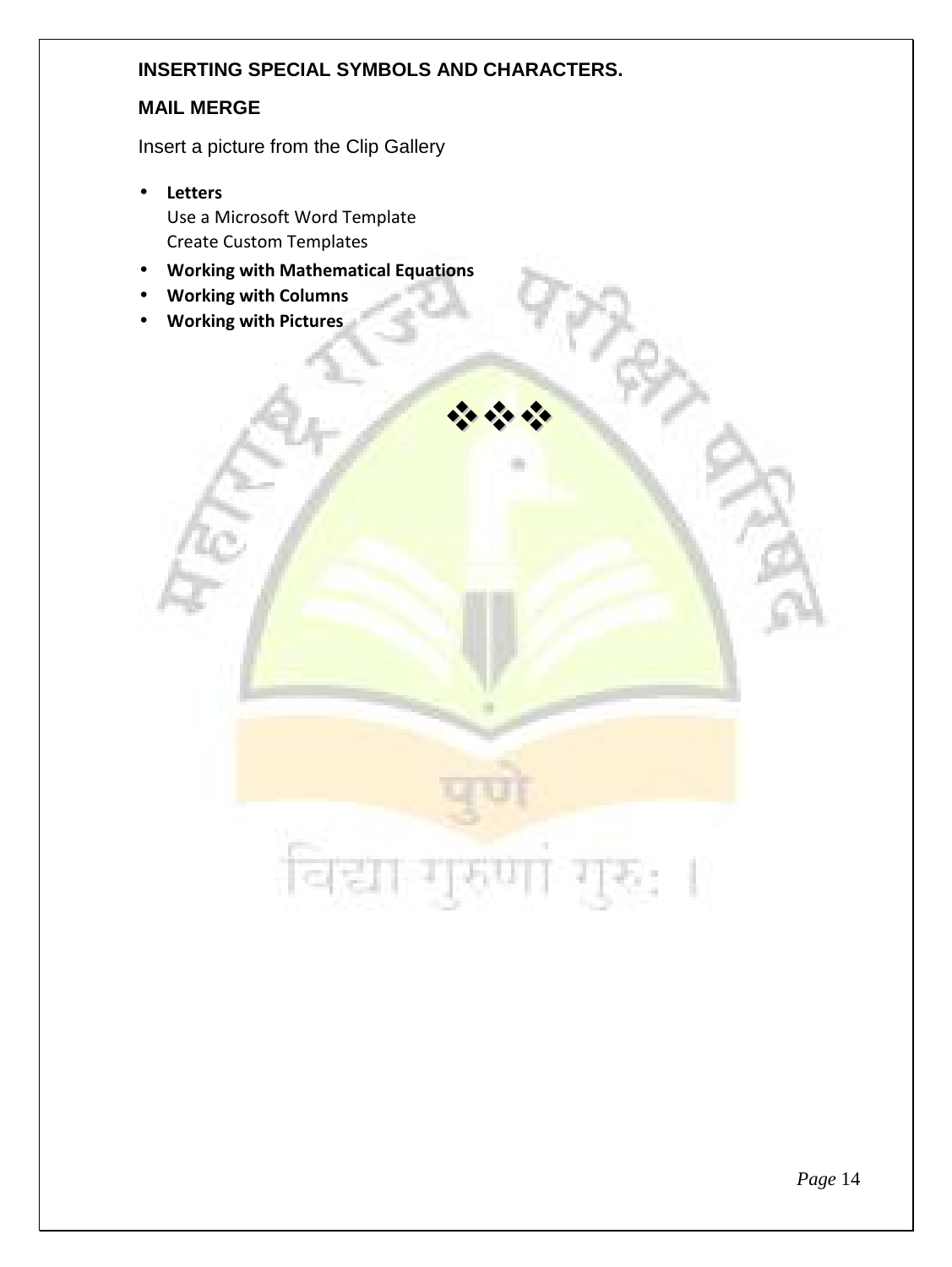#### **INSERTING SPECIAL SYMBOLS AND CHARACTERS.**

 $\frac{1}{2}$   $\frac{1}{2}$   $\frac{1}{2}$ 

#### **MAIL MERGE**

Insert a picture from the Clip Gallery

- **Letters** Use a Microsoft Word Template Create Custom Templates
- **Working with Mathematical Equations**
- **Working with Columns**
- **Working with Pictures**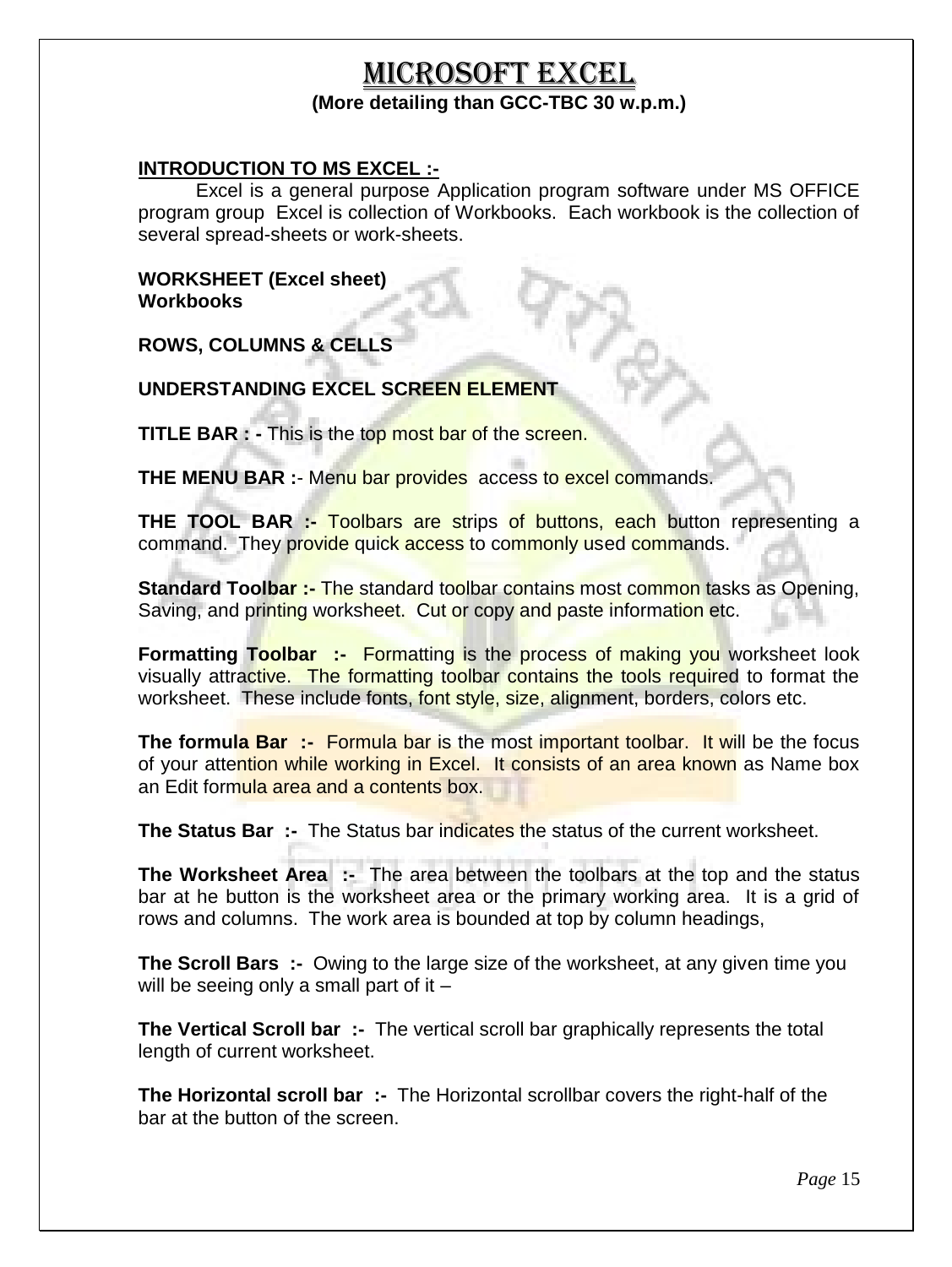#### MICROSOFT EXCEL **(More detailing than GCC-TBC 30 w.p.m.)**

#### **INTRODUCTION TO MS EXCEL :-**

Excel is a general purpose Application program software under MS OFFICE program group Excel is collection of Workbooks. Each workbook is the collection of several spread-sheets or work-sheets.

#### **WORKSHEET (Excel sheet) Workbooks**

**ROWS, COLUMNS & CELLS**

#### **UNDERSTANDING EXCEL SCREEN ELEMENT**

**TITLE BAR : -** This is the top most bar of the screen.

**THE MENU BAR** :- Menu bar provides access to excel commands.

**THE TOOL BAR :- Toolbars are strips of buttons, each button representing a** command. They provide quick access to commonly used commands.

**Standard Toolbar :-** The standard toolbar contains most common tasks as Opening, Saving, and printing worksheet. Cut or copy and paste information etc.

**Formatting Toolbar :- Formatting is the process of making you worksheet look** visually attractive. The formatting toolbar contains the tools required to format the worksheet. These include fonts, font style, size, alignment, borders, colors etc.

**The formula Bar :- Formula bar is the most important toolbar. It will be the focus** of your attention while working in Excel. It consists of an area known as Name box an Edit formula area and a contents box.

**The Status Bar :-** The Status bar indicates the status of the current worksheet.

**The Worksheet Area :- The area between the toolbars at the top and the status** bar at he button is the worksheet area or the primary working area. It is a grid of rows and columns. The work area is bounded at top by column headings,

**The Scroll Bars :-** Owing to the large size of the worksheet, at any given time you will be seeing only a small part of it  $-$ 

**The Vertical Scroll bar :-** The vertical scroll bar graphically represents the total length of current worksheet.

**The Horizontal scroll bar :-** The Horizontal scrollbar covers the right-half of the bar at the button of the screen.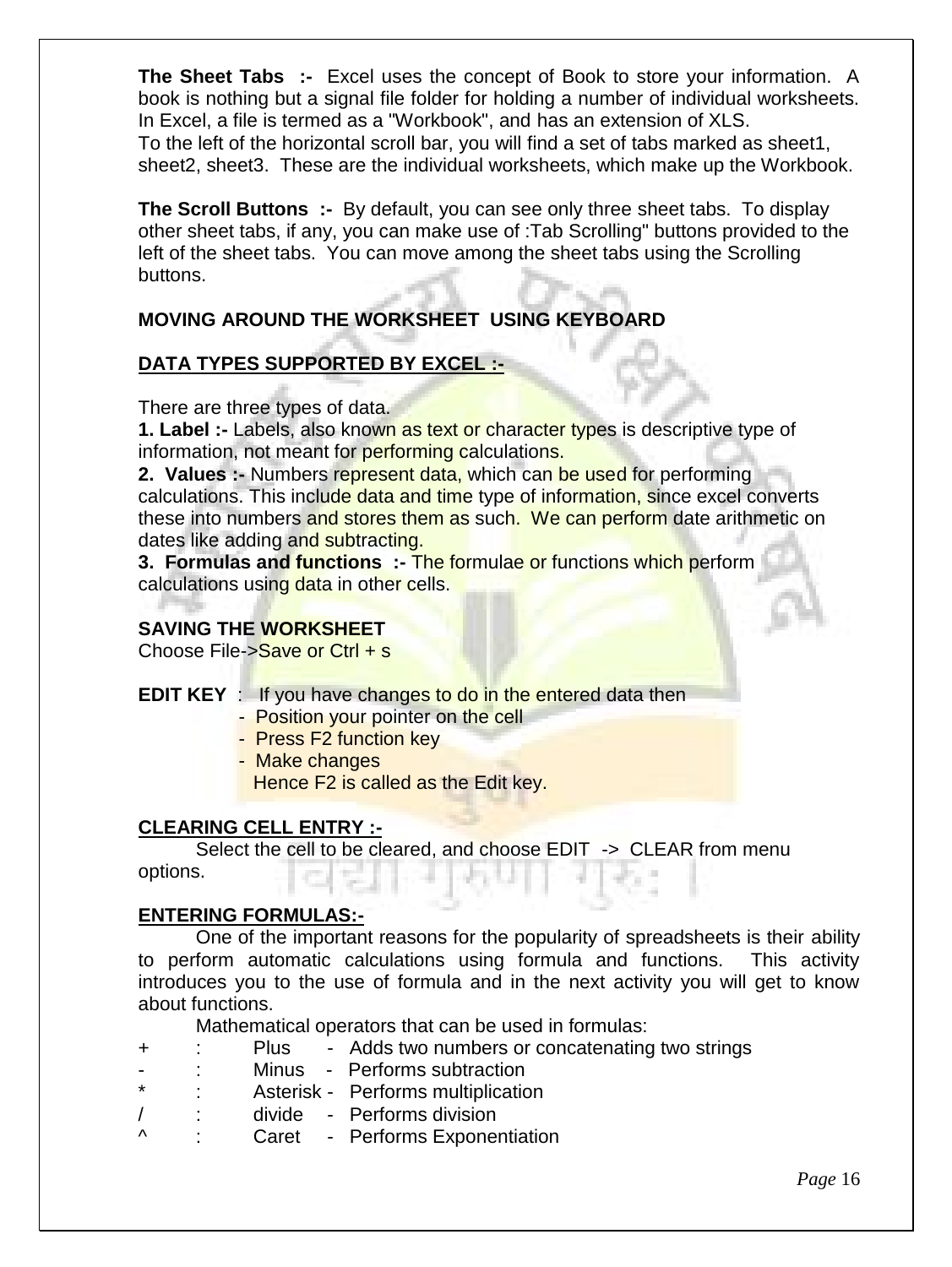**The Sheet Tabs :-** Excel uses the concept of Book to store your information. A book is nothing but a signal file folder for holding a number of individual worksheets. In Excel, a file is termed as a "Workbook", and has an extension of XLS. To the left of the horizontal scroll bar, you will find a set of tabs marked as sheet1, sheet2, sheet3. These are the individual worksheets, which make up the Workbook.

**The Scroll Buttons :-** By default, you can see only three sheet tabs. To display other sheet tabs, if any, you can make use of :Tab Scrolling" buttons provided to the left of the sheet tabs. You can move among the sheet tabs using the Scrolling buttons.

#### **MOVING AROUND THE WORKSHEET USING KEYBOARD**

#### **DATA TYPES SUPPORTED BY EXCEL :-**

There are three types of data.

**1. Label :-** Labels, also known as text or character types is descriptive type of information, not meant for performing calculations.

**2. Values :-** Numbers represent data, which can be used for performing calculations. This include data and time type of information, since excel converts these into numbers and stores them as such. We can perform date arithmetic on dates like adding and subtracting.

**3. Formulas and functions :-** The formulae or functions which perform calculations using data in other cells.

#### **SAVING THE WORKSHEET**

Choose File->Save or Ctrl + s

- **EDIT KEY** : If you have changes to do in the entered data then
	- Position your pointer on the cell
	- Press F2 function key
	- Make changes

Hence F2 is called as the Edit key.

#### **CLEARING CELL ENTRY :-**

Select the cell to be cleared, and choose EDIT -> CLEAR from menu options.

#### **ENTERING FORMULAS:-**

One of the important reasons for the popularity of spreadsheets is their ability to perform automatic calculations using formula and functions. This activity introduces you to the use of formula and in the next activity you will get to know about functions.

Mathematical operators that can be used in formulas:

- + : Plus Adds two numbers or concatenating two strings
- : Minus Performs subtraction
- Asterisk Performs multiplication
- / : divide Performs division
- ^ : Caret Performs Exponentiation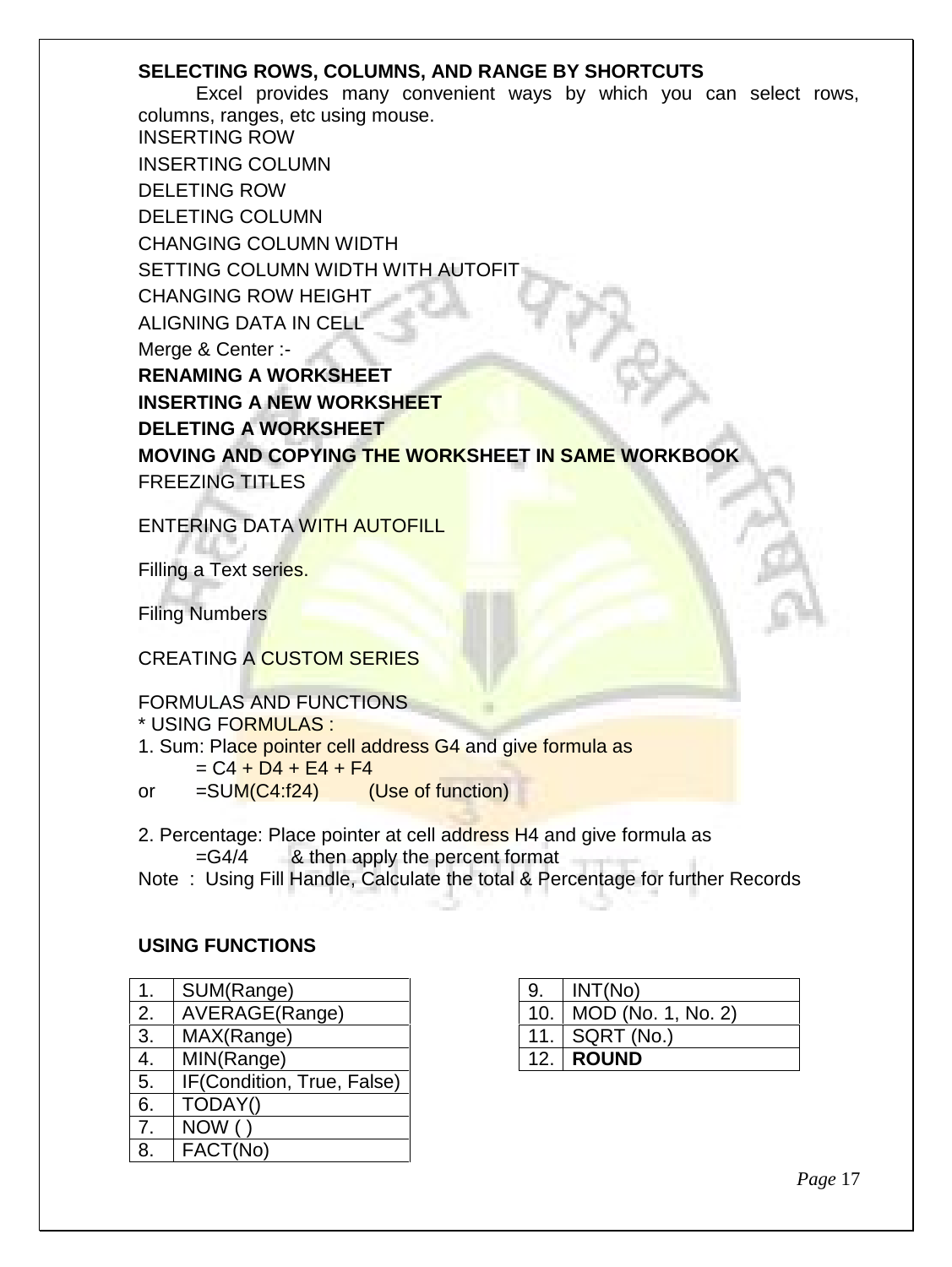#### **SELECTING ROWS, COLUMNS, AND RANGE BY SHORTCUTS**

Excel provides many convenient ways by which you can select rows, columns, ranges, etc using mouse. INSERTING ROW INSERTING COLUMN DELETING ROW DELETING COLUMN CHANGING COLUMN WIDTH SETTING COLUMN WIDTH WITH AUTOFIT CHANGING ROW HEIGHT ALIGNING DATA IN CELL Merge & Center :- **RENAMING A WORKSHEET INSERTING A NEW WORKSHEET DELETING A WORKSHEET MOVING AND COPYING THE WORKSHEET IN SAME WORKBOOK** FREEZING TITLES

ENTERING DATA WITH AUTOFILL

Filling a Text series.

Filing Numbers

#### CREATING A CUSTOM SERIES

#### FORMULAS AND FUNCTIONS

\* USING FORMULAS :

- 1. Sum: Place pointer cell address G4 and give formula as  $= C4 + D4 + E4 + F4$ 
	-
- or =SUM(C4:f24) (Use of function)
- 2. Percentage: Place pointer at cell address H4 and give formula as =G4/4 & then apply the percent format
- Note : Using Fill Handle, Calculate the total & Percentage for further Records

#### **USING FUNCTIONS**

| 1. | SUM(Range)                 |  |
|----|----------------------------|--|
| 2. | AVERAGE(Range)             |  |
| 3. | MAX(Range)                 |  |
| 4. | MIN(Range)                 |  |
| 5. | IF(Condition, True, False) |  |
| 6. | TODAY()                    |  |
| 7. | <b>NOW</b>                 |  |
|    | FACT(No)                   |  |

| 9. | INT(No)                  |
|----|--------------------------|
|    | 10.   MOD (No. 1, No. 2) |
|    | 11.   SQRT (No.)         |
|    | <b>12. ROUND</b>         |

*Page* 17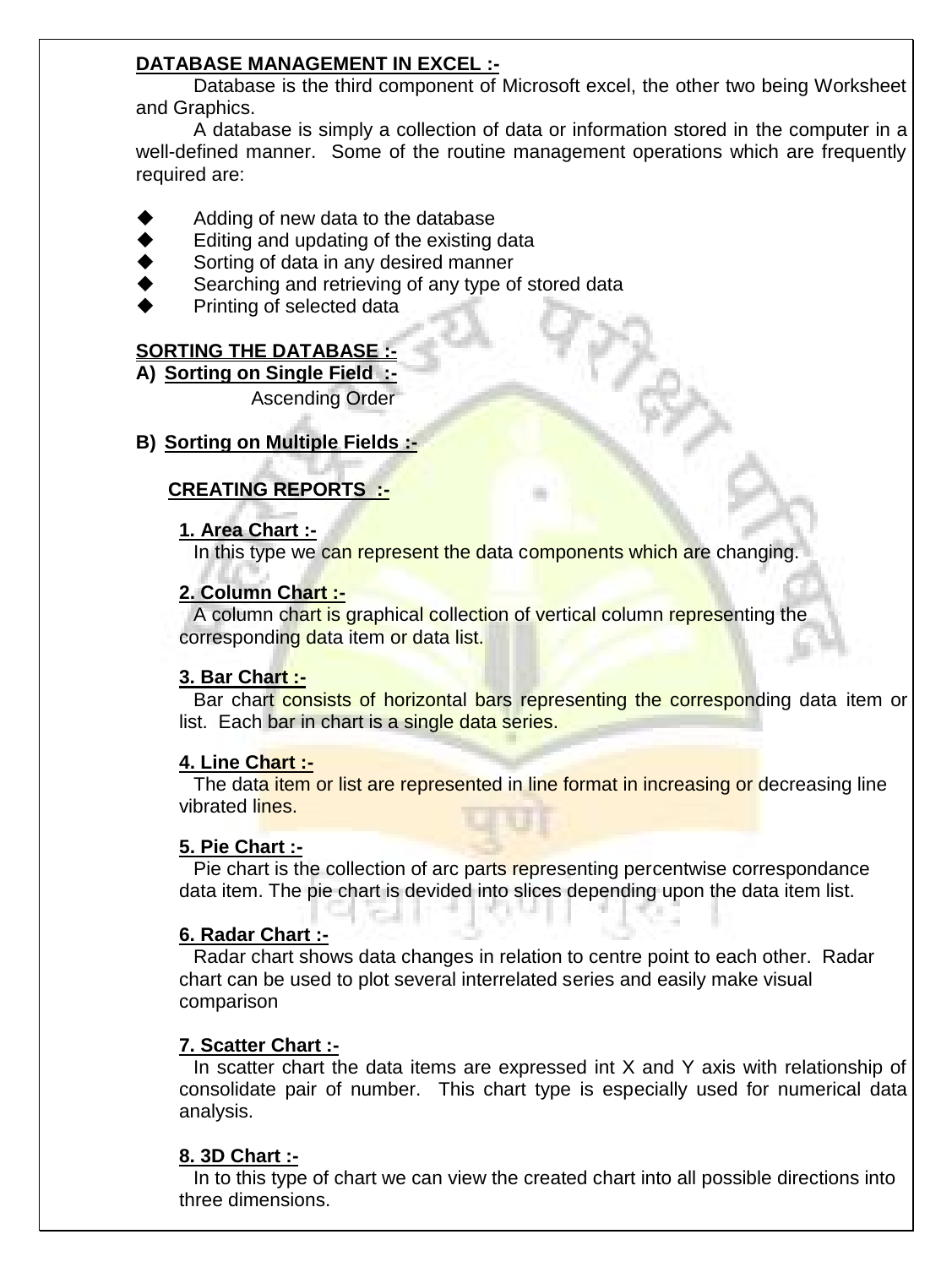#### **DATABASE MANAGEMENT IN EXCEL :-**

Database is the third component of Microsoft excel, the other two being Worksheet and Graphics.

A database is simply a collection of data or information stored in the computer in a well-defined manner. Some of the routine management operations which are frequently required are:

- Adding of new data to the database
- Editing and updating of the existing data
- Sorting of data in any desired manner
- Searching and retrieving of any type of stored data
- Printing of selected data

#### **SORTING THE DATABASE :-**

**A) Sorting on Single Field :-**

Ascending Order

#### **B) Sorting on Multiple Fields :-**

#### **CREATING REPORTS :-**

#### **1. Area Chart :-**

In this type we can represent the data components which are changing.

#### **2. Column Chart :-**

A column chart is graphical collection of vertical column representing the corresponding data item or data list.

#### **3. Bar Chart :-**

Bar chart consists of horizontal bars representing the corresponding data item or list. Each bar in chart is a single data series.

#### **4. Line Chart :-**

The data item or list are represented in line format in increasing or decreasing line vibrated lines.

#### **5. Pie Chart :-**

Pie chart is the collection of arc parts representing percentwise correspondance data item. The pie chart is devided into slices depending upon the data item list.

#### **6. Radar Chart :-**

Radar chart shows data changes in relation to centre point to each other. Radar chart can be used to plot several interrelated series and easily make visual comparison

#### **7. Scatter Chart :-**

In scatter chart the data items are expressed int X and Y axis with relationship of consolidate pair of number. This chart type is especially used for numerical data analysis.

#### **8. 3D Chart :-**

In to this type of chart we can view the created chart into all possible directions into three dimensions.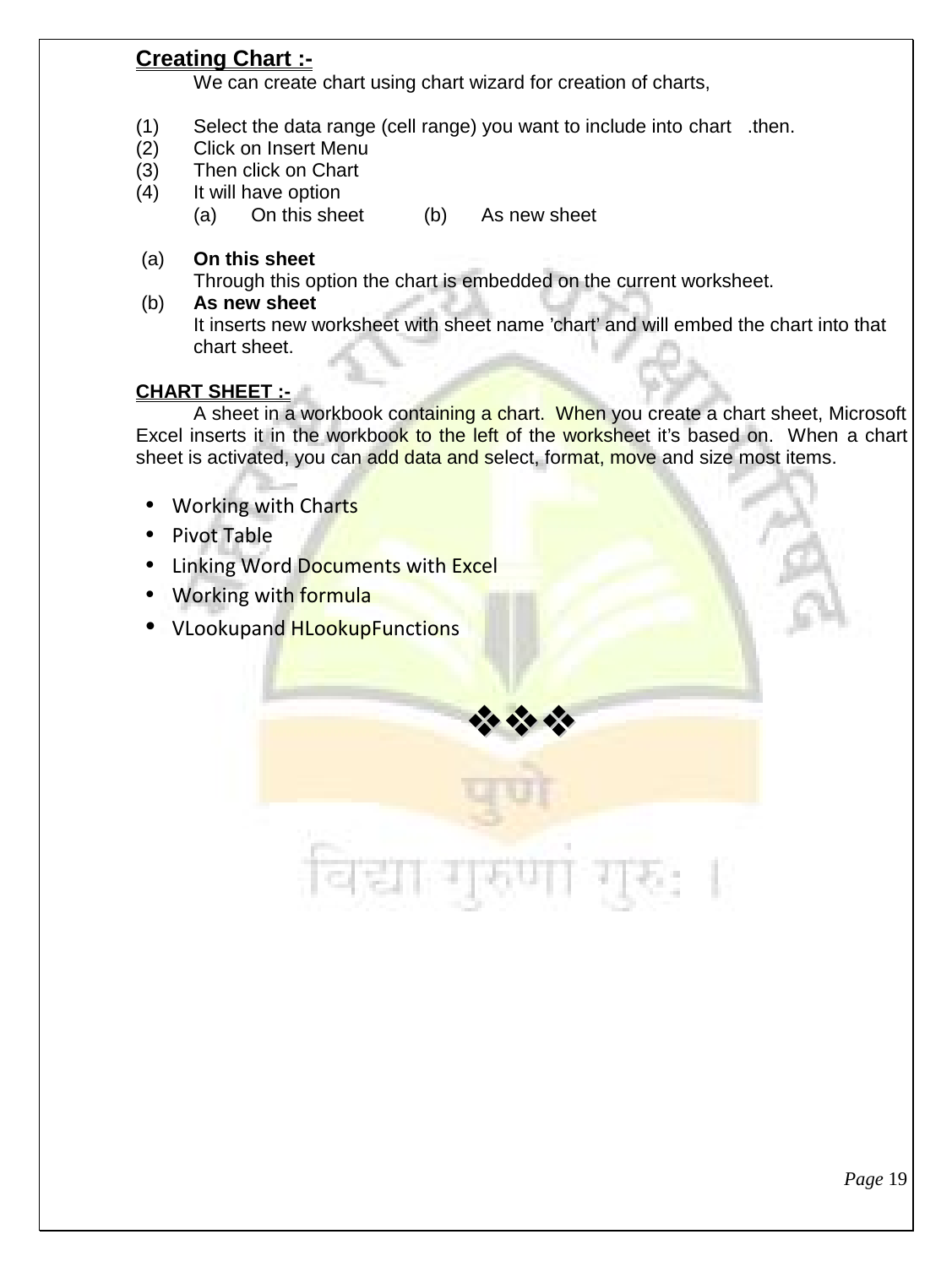#### **Creating Chart :-**

We can create chart using chart wizard for creation of charts,

- (1) Select the data range (cell range) you want to include into chart .then.
- (2) Click on Insert Menu
- (3) Then click on Chart
- (4) It will have option
	- (a) On this sheet (b) As new sheet
- (a) **On this sheet**

Through this option the chart is embedded on the current worksheet.

(b) **As new sheet** It inserts new worksheet with sheet name 'chart' and will embed the chart into that chart sheet.

#### **CHART SHEET :-**

A sheet in a workbook containing a chart. When you create a chart sheet, Microsoft Excel inserts it in the workbook to the left of the worksheet it's based on. When a chart sheet is activated, you can add data and select, format, move and size most items.

 $\frac{1}{2}$   $\frac{1}{2}$   $\frac{1}{2}$ 

- Working with Charts
- Pivot Table
- Linking Word Documents with Excel
- Working with formula
- VLookupand HLookupFunctions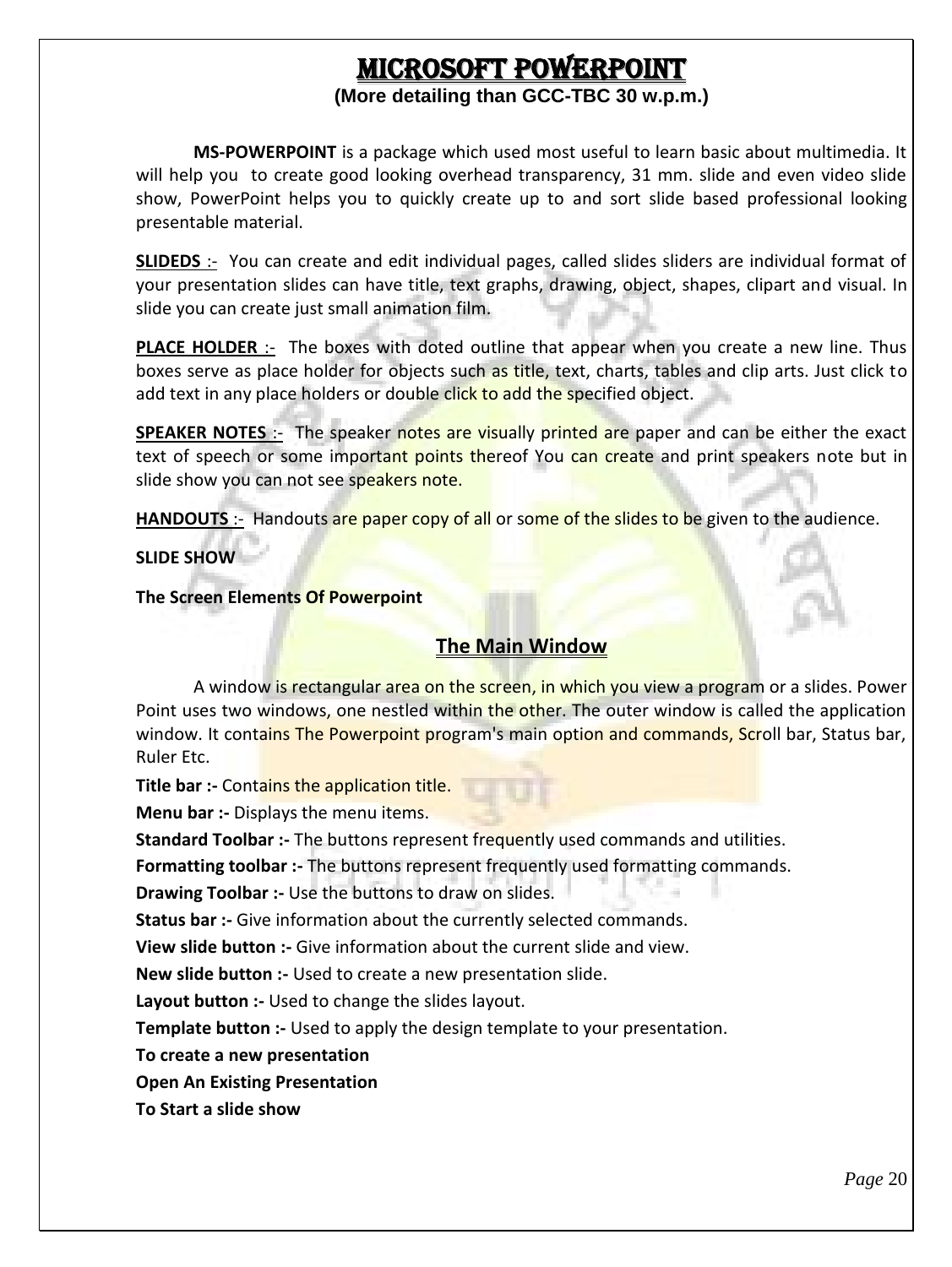# **MICROSOFT POWERPOINT**

#### **(More detailing than GCC-TBC 30 w.p.m.)**

**MS-POWERPOINT** is a package which used most useful to learn basic about multimedia. It will help you to create good looking overhead transparency, 31 mm. slide and even video slide show, PowerPoint helps you to quickly create up to and sort slide based professional looking presentable material.

**SLIDEDS** :- You can create and edit individual pages, called slides sliders are individual format of your presentation slides can have title, text graphs, drawing, object, shapes, clipart and visual. In slide you can create just small animation film.

**PLACE HOLDER** :- The boxes with doted outline that appear when you create a new line. Thus boxes serve as place holder for objects such as title, text, charts, tables and clip arts. Just click to add text in any place holders or double click to add the specified object.

**SPEAKER NOTES** :- The speaker notes are visually printed are paper and can be either the exact text of speech or some important points thereof You can create and print speakers note but in slide show you can not see speakers note.

**HANDOUTS** :- Handouts are paper copy of all or some of the slides to be given to the audience.

**SLIDE SHOW**

**The Screen Elements Of Powerpoint**

#### **The Main Window**

A window is rectangular area on the screen, in which you view a program or a slides. Power Point uses two windows, one nestled within the other. The outer window is called the application window. It contains The Powerpoint program's main option and commands, Scroll bar, Status bar, Ruler Etc.

**Title bar :-** Contains the application title.

**Menu bar :- Displays the menu items.** 

**Standard Toolbar :-** The buttons represent frequently used commands and utilities.

**Formatting toolbar :-** The buttons represent frequently used formatting commands.

**Drawing Toolbar :-** Use the buttons to draw on slides.

**Status bar :-** Give information about the currently selected commands.

**View slide button :-** Give information about the current slide and view.

**New slide button :-** Used to create a new presentation slide.

**Layout button :-** Used to change the slides layout.

**Template button :-** Used to apply the design template to your presentation.

**To create a new presentation**

**Open An Existing Presentation**

**To Start a slide show**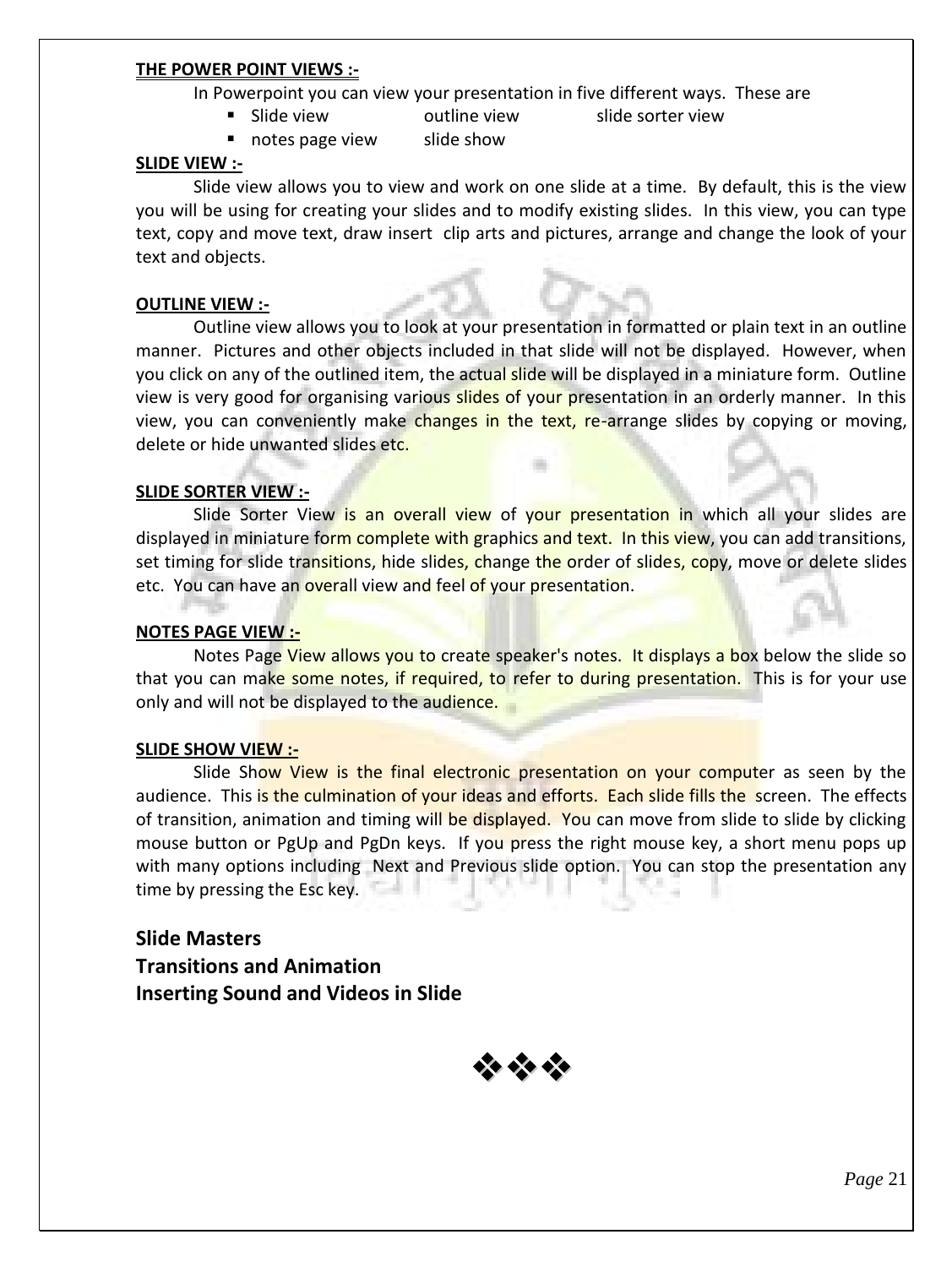#### **THE POWER POINT VIEWS :-**

In Powerpoint you can view your presentation in five different ways. These are

- **Slide view butline view slide sorter view**
- notes page view slide show

**SLIDE VIEW :-**

Slide view allows you to view and work on one slide at a time. By default, this is the view you will be using for creating your slides and to modify existing slides. In this view, you can type text, copy and move text, draw insert clip arts and pictures, arrange and change the look of your text and objects.

#### **OUTLINE VIEW :-**

Outline view allows you to look at your presentation in formatted or plain text in an outline manner. Pictures and other objects included in that slide will not be displayed. However, when you click on any of the outlined item, the actual slide will be displayed in a miniature form. Outline view is very good for organising various slides of your presentation in an orderly manner. In this view, you can conveniently make changes in the text, re-arrange slides by copying or moving, delete or hide unwanted slides etc.

#### **SLIDE SORTER VIEW :-**

Slide Sorter View is an overall view of your presentation in which all your slides are displayed in miniature form complete with graphics and text. In this view, you can add transitions, set timing for slide transitions, hide slides, change the order of slides, copy, move or delete slides etc. You can have an overall view and feel of your presentation.

#### **NOTES PAGE VIEW :-**

Notes Page View allows you to create speaker's notes. It displays a box below the slide so that you can make some notes, if required, to refer to during presentation. This is for your use only and will not be displayed to the audience.

#### **SLIDE SHOW VIEW :-**

Slide Show View is the final electronic presentation on your computer as seen by the audience. This is the culmination of your ideas and efforts. Each slide fills the screen. The effects of transition, animation and timing will be displayed. You can move from slide to slide by clicking mouse button or PgUp and PgDn keys. If you press the right mouse key, a short menu pops up with many options including Next and Previous slide option. You can stop the presentation any time by pressing the Esc key.

**Slide Masters Transitions and Animation Inserting Sound and Videos in Slide**

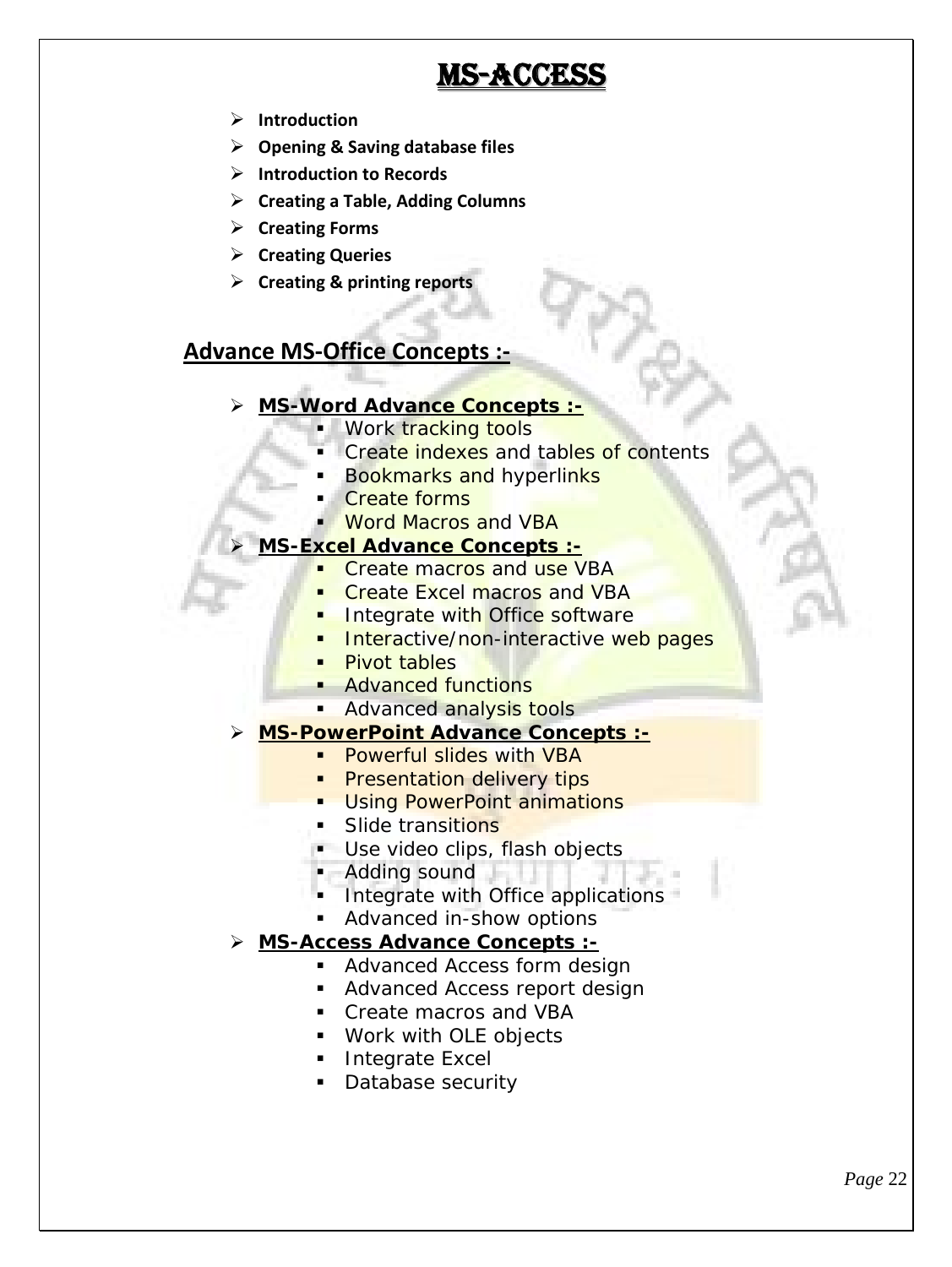# **MS-ACCESS**

- **Introduction**
- **Opening & Saving database files**
- **Introduction to Records**
- **Creating a Table, Adding Columns**
- **Creating Forms**
- **Creating Queries**
- **Creating & printing reports**

#### **Advance MS-Office Concepts :-**

- **MS-Word Advance Concepts :-**
	- Work tracking tools
	- Create indexes and tables of contents
	- Bookmarks and hyperlinks
	- Create forms
	- Word Macros and VBA
- **MS-Excel Advance Concepts :-**
	- Create macros and use VBA
		- **Create Excel macros and VBA**
		- **Integrate with Office software**
		- **Interactive/non-interactive web pages**
	- **Pivot tables**
	- Advanced functions
	- **Advanced analysis tools**
- **MS-PowerPoint Advance Concepts :-**
	- Powerful slides with VBA
	- Presentation delivery tips
	- **Using PowerPoint animations**
	- Slide transitions
	- Use video clips, flash objects
	- **Adding sound**
	- **Integrate with Office applications**
	- Advanced in-show options
- **MS-Access Advance Concepts :-**
	- **Advanced Access form design**
	- Advanced Access report design
	- Create macros and VBA
	- Work with OLE objects
	- **Integrate Excel**
	- Database security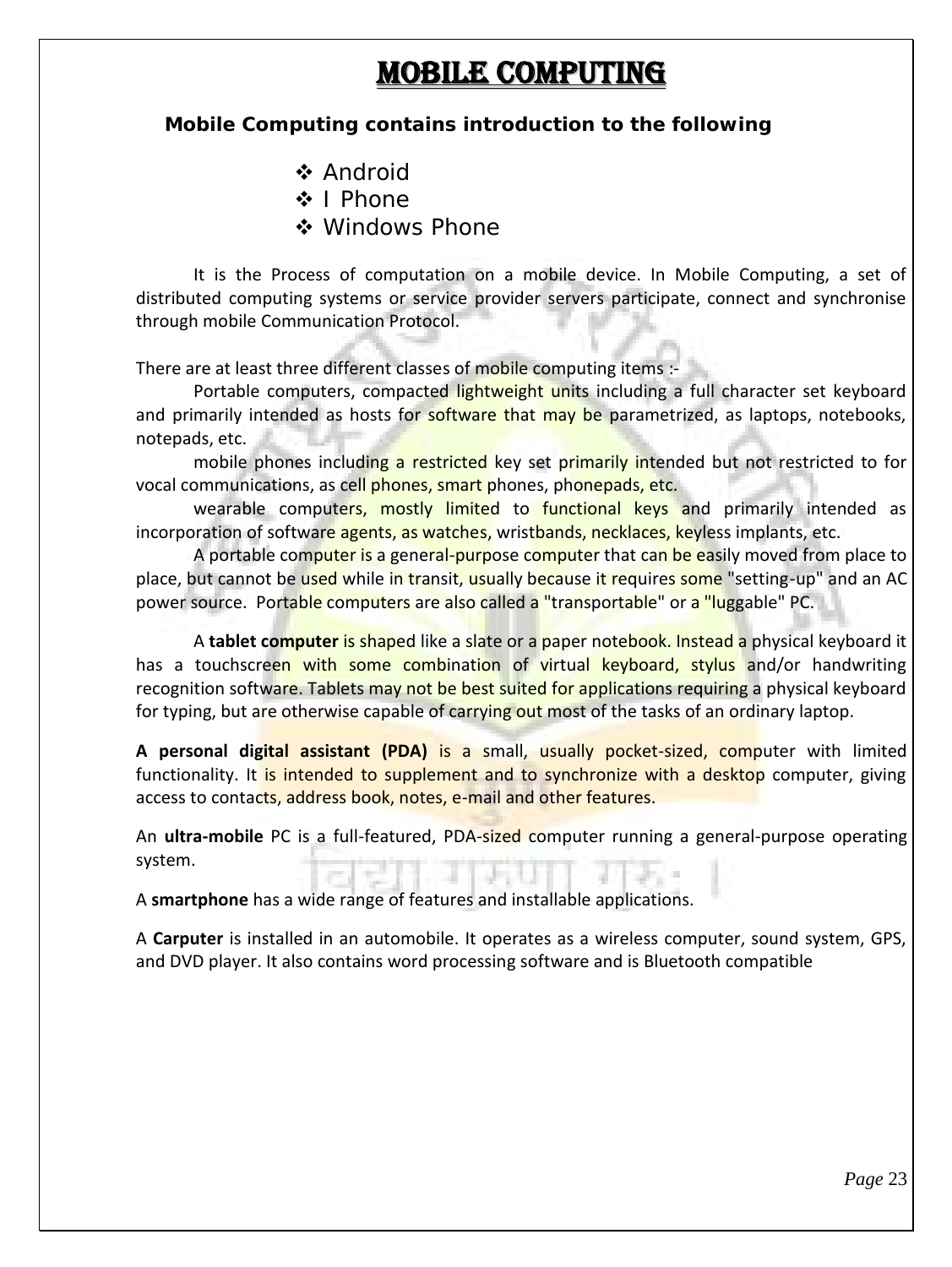# **MOBILE COMPUTING**

**Mobile Computing contains introduction to the following**

- ❖ Android
- ❖ I Phone
- ❖ Windows Phone

It is the Process of computation on a mobile device. In Mobile Computing, a set of distributed computing systems or service provider servers participate, connect and synchronise through mobile Communication Protocol.

There are at least three different classes of mobile computing items :-

Portable computers, compacted lightweight units including a full character set keyboard and primarily intended as hosts for software that may be parametrized, as laptops, notebooks, notepads, etc.

mobile phones including a restricted key set primarily intended but not restricted to for vocal communications, as cell phones, smart phones, phonepads, etc.

wearable computers, mostly limited to functional keys and primarily intended as incorporation of software agents, as watches, wristbands, necklaces, keyless implants, etc.

A portable computer is a general-purpose computer that can be easily moved from place to place, but cannot be used while in transit, usually because it requires some "setting-up" and an AC power source. Portable computers are also called a "transportable" or a "luggable" PC.

A **tablet computer** is shaped like a slate or a paper notebook. Instead a physical keyboard it has a touchscreen with some combination of virtual keyboard, stylus and/or handwriting recognition software. Tablets may not be best suited for applications requiring a physical keyboard for typing, but are otherwise capable of carrying out most of the tasks of an ordinary laptop.

**A personal digital assistant (PDA)** is a small, usually pocket-sized, computer with limited functionality. It is intended to supplement and to synchronize with a desktop computer, giving access to contacts, address book, notes, e-mail and other features.

An **ultra-mobile** PC is a full-featured, PDA-sized computer running a general-purpose operating system.

A **smartphone** has a wide range of features and installable applications.

A **Carputer** is installed in an automobile. It operates as a wireless computer, sound system, GPS, and DVD player. It also contains word processing software and is Bluetooth compatible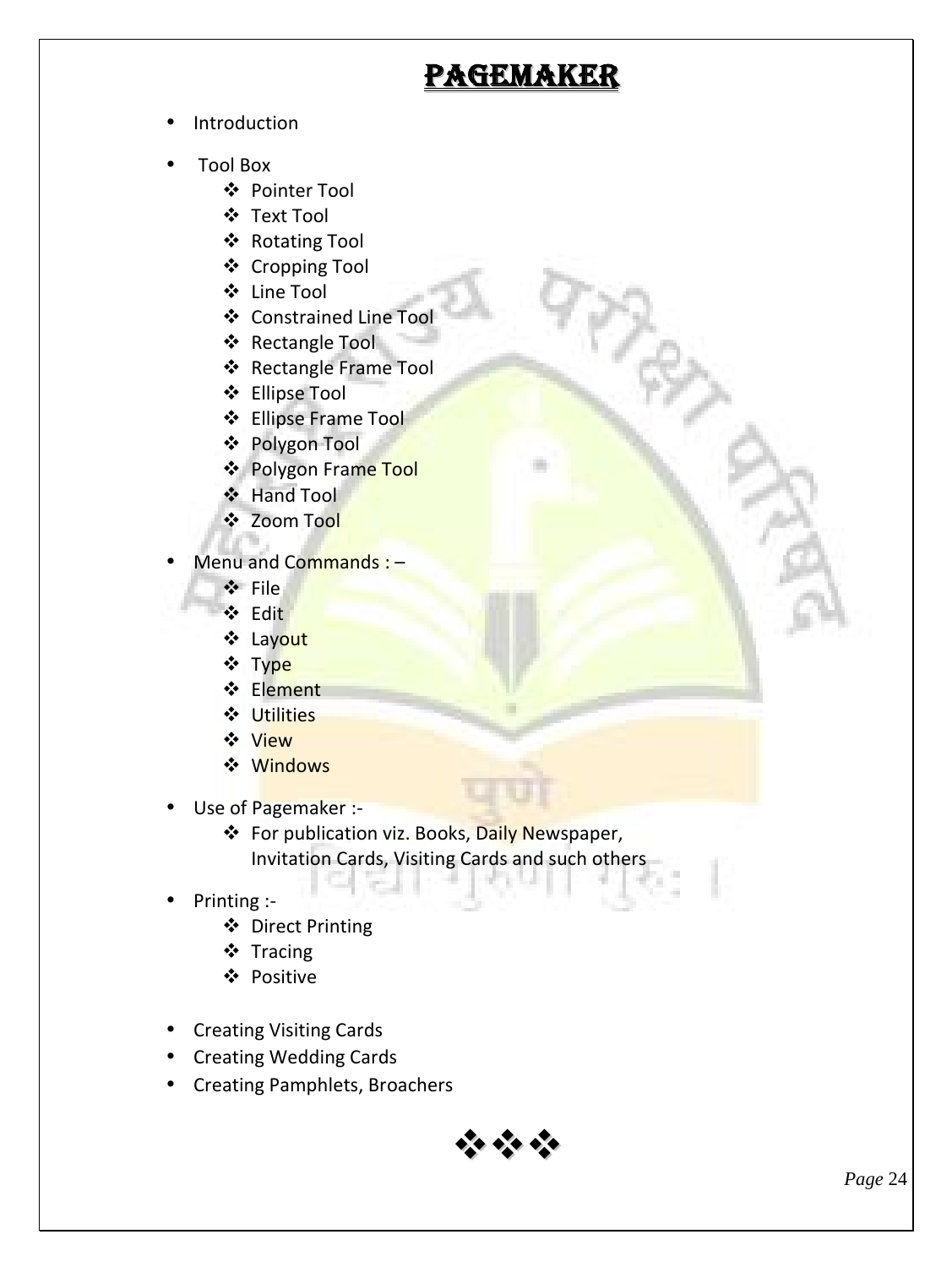# **PAGEMAKER**

- Introduction
- Tool Box
	- Pointer Tool
	- Text Tool
	- ❖ Rotating Tool
	- Cropping Tool
	- Line Tool
	- Constrained Line Tool
	- **❖** Rectangle Tool
	- ❖ Rectangle Frame Tool
	- Ellipse Tool
	- **❖** Ellipse Frame Tool
	- Polygon Tool
	- ❖ Polygon Frame Tool
	- ❖ Hand Tool
	- ❖ Zoom Tool
- Menu and Commands : -
	- File
	- Edit
	- Layout
	- ❖ Type
	- **❖** Element
	- Utilities
	- **❖** View
	- **❖** Windows
- Use of Pagemaker :-
	- ❖ For publication viz. Books, Daily Newspaper, Invitation Cards, Visiting Cards and such others
- Printing :-
	- ❖ Direct Printing
	- ❖ Tracing
	- Positive
- Creating Visiting Cards
- Creating Wedding Cards
- Creating Pamphlets, Broachers

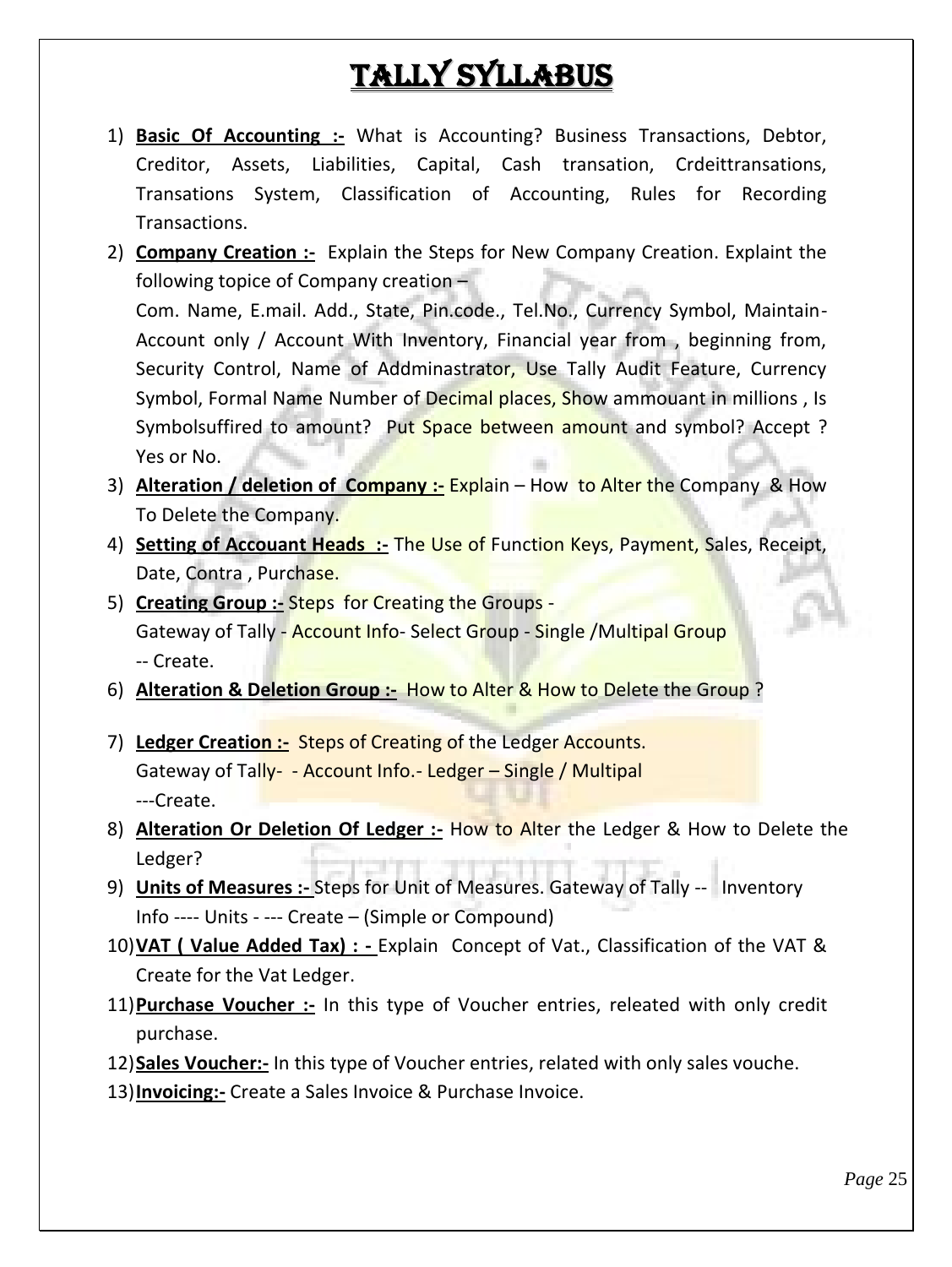# **Tally Syllabus**

- 1) **Basic Of Accounting :-** What is Accounting? Business Transactions, Debtor, Creditor, Assets, Liabilities, Capital, Cash transation, Crdeittransations, Transations System, Classification of Accounting, Rules for Recording Transactions.
- 2) **Company Creation :-** Explain the Steps for New Company Creation. Explaint the following topice of Company creation – Com. Name, E.mail. Add., State, Pin.code., Tel.No., Currency Symbol, Maintain- Account only / Account With Inventory, Financial year from , beginning from, Security Control, Name of Addminastrator, Use Tally Audit Feature, Currency Symbol, Formal Name Number of Decimal places, Show ammouant in millions, Is Symbolsuffired to amount? Put Space between amount and symbol? Accept? Yes or No.
- 3) **Alteration / deletion of Company :-** Explain How to Alter the Company & How To Delete the Company.
- 4) **Setting of Accouant Heads :-** The Use of Function Keys, Payment, Sales, Receipt, Date, Contra, Purchase.
- 5) **Creating Group :-** Steps for Creating the Groups Gateway of Tally - Account Info- Select Group - Single /Multipal Group -- Create.
- 6) **Alteration & Deletion Group :-** How to Alter & How to Delete the Group ?
- 7) **Ledger Creation :-** Steps of Creating of the Ledger Accounts. Gateway of Tally- - Account Info.- Ledger – Single / Multipal ---Create.
- 8) **Alteration Or Deletion Of Ledger :-** How to Alter the Ledger & How to Delete the Ledger?
- 9) **Units of Measures :-** Steps for Unit of Measures. Gateway of Tally -- Inventory Info ---- Units - --- Create – (Simple or Compound)
- 10)**VAT ( Value Added Tax) : -** Explain Concept of Vat., Classification of the VAT & Create for the Vat Ledger.
- 11)**Purchase Voucher :-** In this type of Voucher entries, releated with only credit purchase.
- 12)**Sales Voucher:-** In this type of Voucher entries, related with only sales vouche.
- 13)**Invoicing:-** Create a Sales Invoice & Purchase Invoice.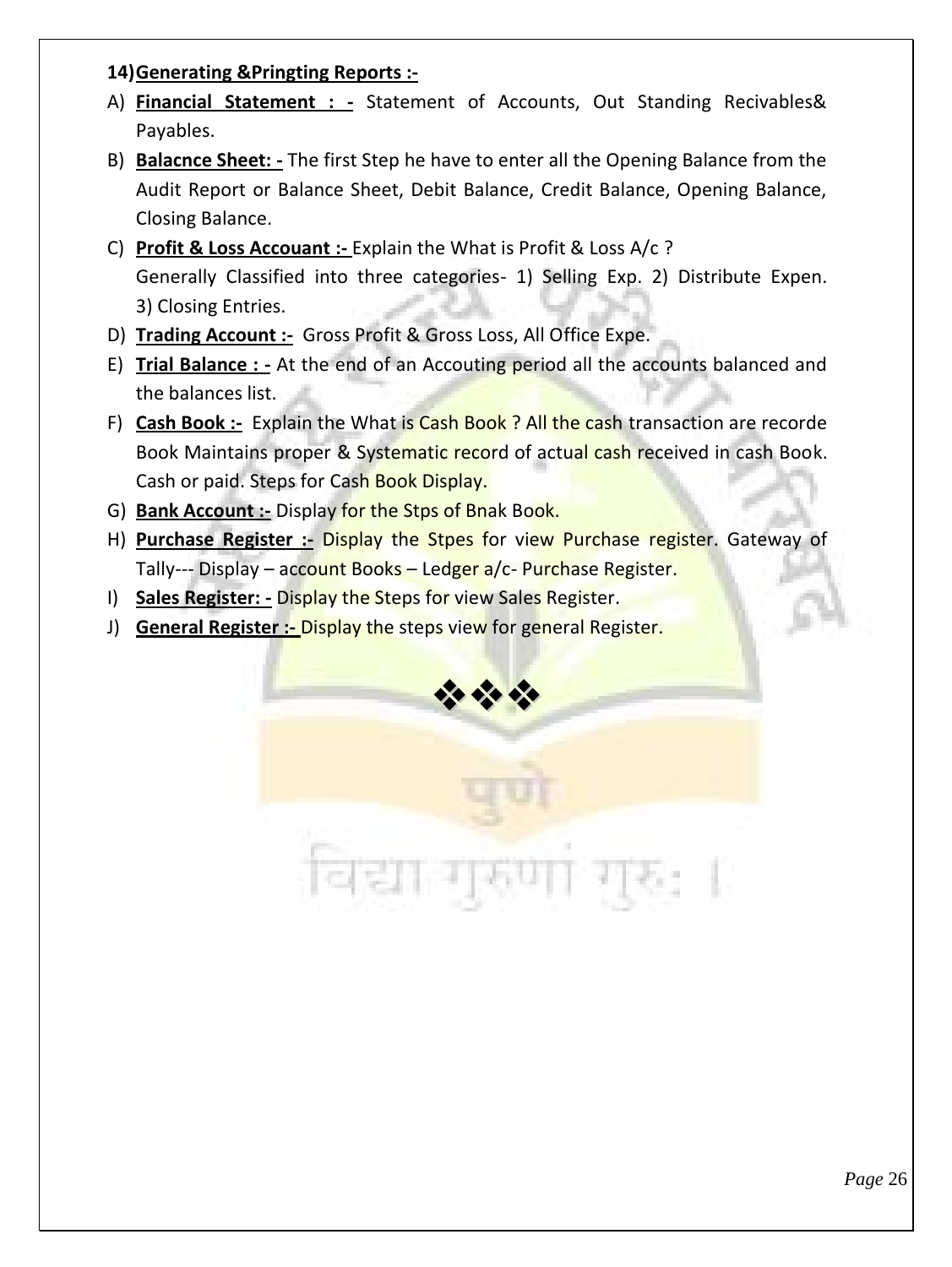#### **14)Generating &Pringting Reports :-**

- A) **Financial Statement : -** Statement of Accounts, Out Standing Recivables& Payables.
- B) **Balacnce Sheet: -** The first Step he have to enter all the Opening Balance from the Audit Report or Balance Sheet, Debit Balance, Credit Balance, Opening Balance, Closing Balance.
- C) **Profit & Loss Accouant :-** Explain the What is Profit & Loss A/c ? Generally Classified into three categories- 1) Selling Exp. 2) Distribute Expen. 3) Closing Entries.
- D) **Trading Account :-** Gross Profit & Gross Loss, All Office Expe.
- E) **Trial Balance : -** At the end of an Accouting period all the accounts balanced and the balances list.
- F) **Cash Book :-** Explain the What is Cash Book ? All the cash transaction are recorde Book Maintains proper & Systematic record of actual cash received in cash Book. Cash or paid. Steps for Cash Book Display.
- G) **Bank Account :-** Display for the Stps of Bnak Book.
- H) **Purchase Register :-** Display the Stpes for view Purchase register. Gateway of Tally--- Display – account Books – Ledger a/c- Purchase Register.
- I) **Sales Register: -** Display the Steps for view Sales Register.
- J) **General Register :-** Display the steps view for general Register.